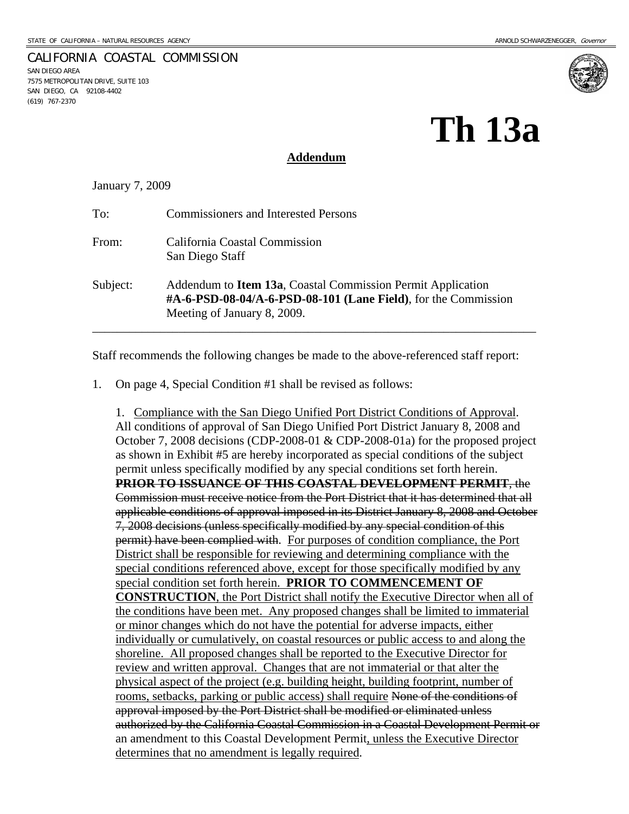7575 METROPOLITAN DRIVE, SUITE 103 SAN DIEGO, CA 92108-4402

SAN DIEGO AREA

(619) 767-2370

# **Th 13a**

#### **Addendum**

January 7, 2009

CALIFORNIA COASTAL COMMISSION

| To:      | <b>Commissioners and Interested Persons</b>                                                                                                                          |
|----------|----------------------------------------------------------------------------------------------------------------------------------------------------------------------|
| From:    | California Coastal Commission<br>San Diego Staff                                                                                                                     |
| Subject: | Addendum to <b>Item 13a</b> , Coastal Commission Permit Application<br>#A-6-PSD-08-04/A-6-PSD-08-101 (Lane Field), for the Commission<br>Meeting of January 8, 2009. |

Staff recommends the following changes be made to the above-referenced staff report:

1. On page 4, Special Condition #1 shall be revised as follows:

1. Compliance with the San Diego Unified Port District Conditions of Approval. All conditions of approval of San Diego Unified Port District January 8, 2008 and October 7, 2008 decisions (CDP-2008-01 & CDP-2008-01a) for the proposed project as shown in Exhibit #5 are hereby incorporated as special conditions of the subject permit unless specifically modified by any special conditions set forth herein. **PRIOR TO ISSUANCE OF THIS COASTAL DEVELOPMENT PERMIT**, the Commission must receive notice from the Port District that it has determined that all applicable conditions of approval imposed in its District January 8, 2008 and October 7, 2008 decisions (unless specifically modified by any special condition of this permit) have been complied with. For purposes of condition compliance, the Port District shall be responsible for reviewing and determining compliance with the special conditions referenced above, except for those specifically modified by any special condition set forth herein. **PRIOR TO COMMENCEMENT OF CONSTRUCTION**, the Port District shall notify the Executive Director when all of the conditions have been met. Any proposed changes shall be limited to immaterial or minor changes which do not have the potential for adverse impacts, either individually or cumulatively, on coastal resources or public access to and along the shoreline. All proposed changes shall be reported to the Executive Director for review and written approval. Changes that are not immaterial or that alter the physical aspect of the project (e.g. building height, building footprint, number of rooms, setbacks, parking or public access) shall require None of the conditions of approval imposed by the Port District shall be modified or eliminated unless authorized by the California Coastal Commission in a Coastal Development Permit or an amendment to this Coastal Development Permit, unless the Executive Director determines that no amendment is legally required.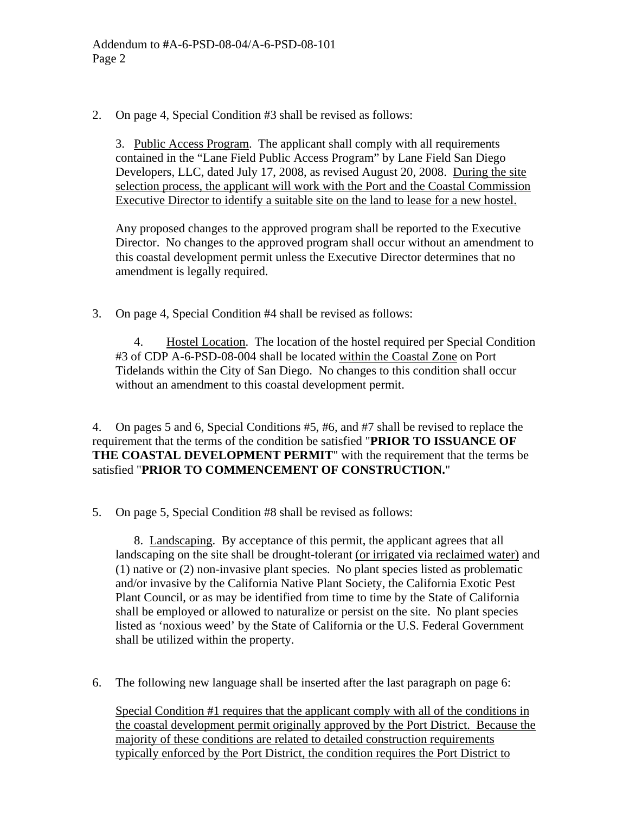2. On page 4, Special Condition #3 shall be revised as follows:

3. Public Access Program. The applicant shall comply with all requirements contained in the "Lane Field Public Access Program" by Lane Field San Diego Developers, LLC, dated July 17, 2008, as revised August 20, 2008. During the site selection process, the applicant will work with the Port and the Coastal Commission Executive Director to identify a suitable site on the land to lease for a new hostel.

Any proposed changes to the approved program shall be reported to the Executive Director. No changes to the approved program shall occur without an amendment to this coastal development permit unless the Executive Director determines that no amendment is legally required.

3. On page 4, Special Condition #4 shall be revised as follows:

 4. Hostel Location. The location of the hostel required per Special Condition #3 of CDP A-6-PSD-08-004 shall be located within the Coastal Zone on Port Tidelands within the City of San Diego. No changes to this condition shall occur without an amendment to this coastal development permit.

4. On pages 5 and 6, Special Conditions #5, #6, and #7 shall be revised to replace the requirement that the terms of the condition be satisfied "**PRIOR TO ISSUANCE OF THE COASTAL DEVELOPMENT PERMIT**" with the requirement that the terms be satisfied "**PRIOR TO COMMENCEMENT OF CONSTRUCTION.**"

5. On page 5, Special Condition #8 shall be revised as follows:

 8. Landscaping. By acceptance of this permit, the applicant agrees that all landscaping on the site shall be drought-tolerant (or irrigated via reclaimed water) and (1) native or (2) non-invasive plant species. No plant species listed as problematic and/or invasive by the California Native Plant Society, the California Exotic Pest Plant Council, or as may be identified from time to time by the State of California shall be employed or allowed to naturalize or persist on the site. No plant species listed as 'noxious weed' by the State of California or the U.S. Federal Government shall be utilized within the property.

6. The following new language shall be inserted after the last paragraph on page 6:

Special Condition #1 requires that the applicant comply with all of the conditions in the coastal development permit originally approved by the Port District. Because the majority of these conditions are related to detailed construction requirements typically enforced by the Port District, the condition requires the Port District to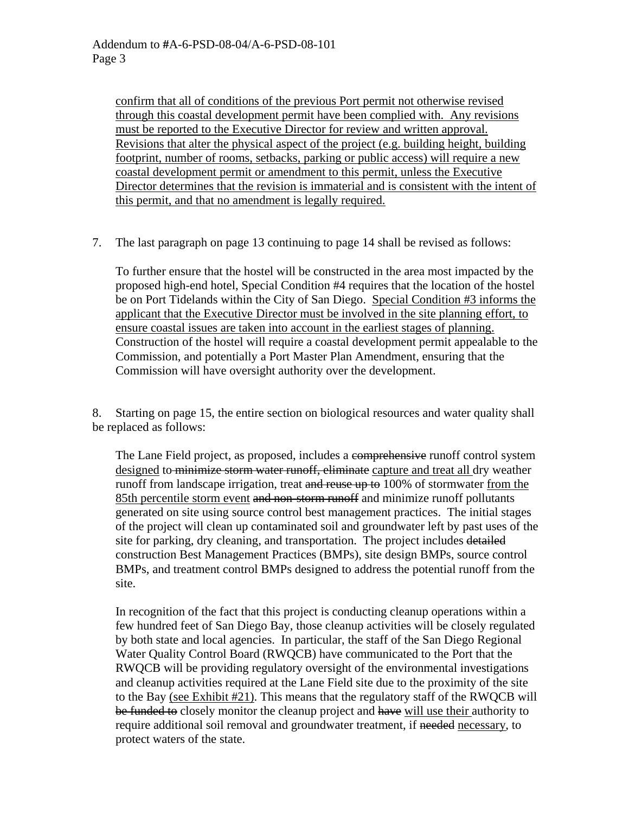confirm that all of conditions of the previous Port permit not otherwise revised through this coastal development permit have been complied with. Any revisions must be reported to the Executive Director for review and written approval. Revisions that alter the physical aspect of the project (e.g. building height, building footprint, number of rooms, setbacks, parking or public access) will require a new coastal development permit or amendment to this permit, unless the Executive Director determines that the revision is immaterial and is consistent with the intent of this permit, and that no amendment is legally required.

7. The last paragraph on page 13 continuing to page 14 shall be revised as follows:

To further ensure that the hostel will be constructed in the area most impacted by the proposed high-end hotel, Special Condition #4 requires that the location of the hostel be on Port Tidelands within the City of San Diego. Special Condition #3 informs the applicant that the Executive Director must be involved in the site planning effort, to ensure coastal issues are taken into account in the earliest stages of planning. Construction of the hostel will require a coastal development permit appealable to the Commission, and potentially a Port Master Plan Amendment, ensuring that the Commission will have oversight authority over the development.

8. Starting on page 15, the entire section on biological resources and water quality shall be replaced as follows:

The Lane Field project, as proposed, includes a comprehensive runoff control system designed to minimize storm water runoff, eliminate capture and treat all dry weather runoff from landscape irrigation, treat and reuse up to 100% of stormwater from the 85th percentile storm event and non-storm runoff and minimize runoff pollutants generated on site using source control best management practices. The initial stages of the project will clean up contaminated soil and groundwater left by past uses of the site for parking, dry cleaning, and transportation. The project includes detailed construction Best Management Practices (BMPs), site design BMPs, source control BMPs, and treatment control BMPs designed to address the potential runoff from the site.

In recognition of the fact that this project is conducting cleanup operations within a few hundred feet of San Diego Bay, those cleanup activities will be closely regulated by both state and local agencies. In particular, the staff of the San Diego Regional Water Quality Control Board (RWQCB) have communicated to the Port that the RWQCB will be providing regulatory oversight of the environmental investigations and cleanup activities required at the Lane Field site due to the proximity of the site to the Bay (see Exhibit #21). This means that the regulatory staff of the RWQCB will be funded to closely monitor the cleanup project and have will use their authority to require additional soil removal and groundwater treatment, if needed necessary, to protect waters of the state.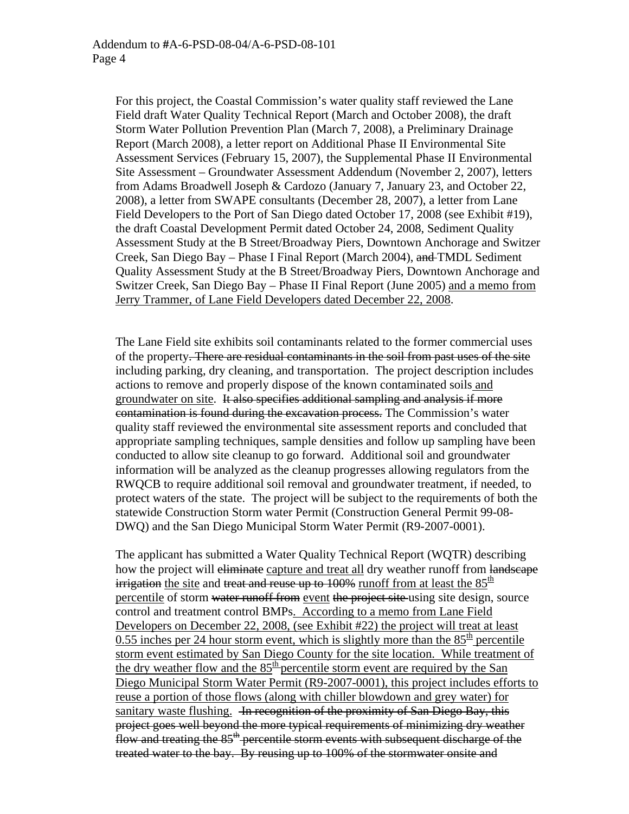For this project, the Coastal Commission's water quality staff reviewed the Lane Field draft Water Quality Technical Report (March and October 2008), the draft Storm Water Pollution Prevention Plan (March 7, 2008), a Preliminary Drainage Report (March 2008), a letter report on Additional Phase II Environmental Site Assessment Services (February 15, 2007), the Supplemental Phase II Environmental Site Assessment – Groundwater Assessment Addendum (November 2, 2007), letters from Adams Broadwell Joseph & Cardozo (January 7, January 23, and October 22, 2008), a letter from SWAPE consultants (December 28, 2007), a letter from Lane Field Developers to the Port of San Diego dated October 17, 2008 (see Exhibit #19), the draft Coastal Development Permit dated October 24, 2008, Sediment Quality Assessment Study at the B Street/Broadway Piers, Downtown Anchorage and Switzer Creek, San Diego Bay – Phase I Final Report (March 2004), and TMDL Sediment Quality Assessment Study at the B Street/Broadway Piers, Downtown Anchorage and Switzer Creek, San Diego Bay – Phase II Final Report (June 2005) and a memo from Jerry Trammer, of Lane Field Developers dated December 22, 2008.

The Lane Field site exhibits soil contaminants related to the former commercial uses of the property. There are residual contaminants in the soil from past uses of the site including parking, dry cleaning, and transportation. The project description includes actions to remove and properly dispose of the known contaminated soils and groundwater on site. It also specifies additional sampling and analysis if more contamination is found during the excavation process. The Commission's water quality staff reviewed the environmental site assessment reports and concluded that appropriate sampling techniques, sample densities and follow up sampling have been conducted to allow site cleanup to go forward. Additional soil and groundwater information will be analyzed as the cleanup progresses allowing regulators from the RWQCB to require additional soil removal and groundwater treatment, if needed, to protect waters of the state. The project will be subject to the requirements of both the statewide Construction Storm water Permit (Construction General Permit 99-08- DWQ) and the San Diego Municipal Storm Water Permit (R9-2007-0001).

The applicant has submitted a Water Quality Technical Report (WQTR) describing how the project will eliminate capture and treat all dry weather runoff from landscape irrigation the site and treat and reuse up to 100% runoff from at least the  $85<sup>th</sup>$ percentile of storm water runoff from event the project site using site design, source control and treatment control BMPs. According to a memo from Lane Field Developers on December 22, 2008, (see Exhibit #22) the project will treat at least 0.55 inches per 24 hour storm event, which is slightly more than the  $85<sup>th</sup>$  percentile storm event estimated by San Diego County for the site location. While treatment of the dry weather flow and the  $85<sup>th</sup>$  percentile storm event are required by the San Diego Municipal Storm Water Permit (R9-2007-0001), this project includes efforts to reuse a portion of those flows (along with chiller blowdown and grey water) for sanitary waste flushing. In recognition of the proximity of San Diego Bay, this project goes well beyond the more typical requirements of minimizing dry weather flow and treating the 85<sup>th</sup> percentile storm events with subsequent discharge of the treated water to the bay. By reusing up to 100% of the stormwater onsite and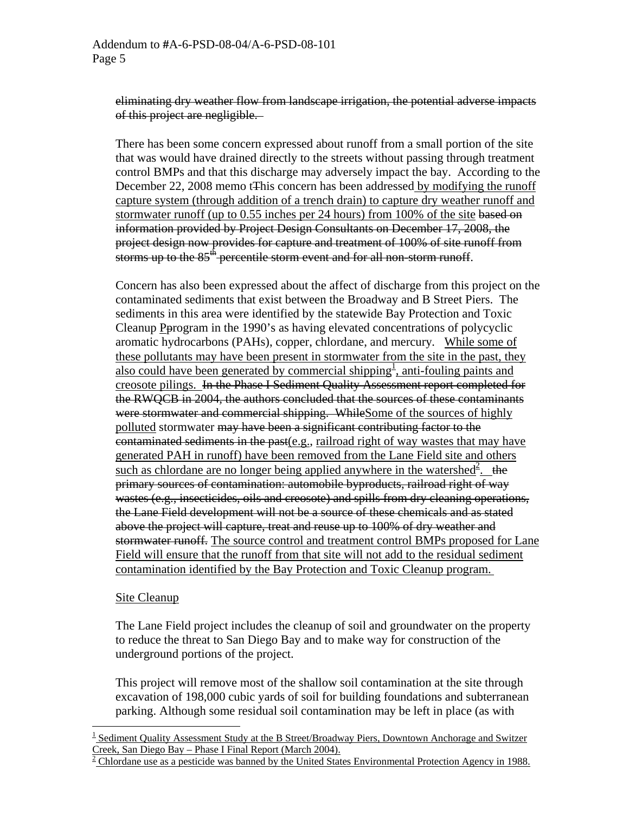eliminating dry weather flow from landscape irrigation, the potential adverse impacts of this project are negligible.

There has been some concern expressed about runoff from a small portion of the site that was would have drained directly to the streets without passing through treatment control BMPs and that this discharge may adversely impact the bay. According to the December 22, 2008 memo tThis concern has been addressed by modifying the runoff capture system (through addition of a trench drain) to capture dry weather runoff and stormwater runoff (up to 0.55 inches per 24 hours) from 100% of the site based on information provided by Project Design Consultants on December 17, 2008, the project design now provides for capture and treatment of 100% of site runoff from storms up to the 85<sup>th</sup> percentile storm event and for all non-storm runoff.

Concern has also been expressed about the affect of discharge from this project on the contaminated sediments that exist between the Broadway and B Street Piers. The sediments in this area were identified by the statewide Bay Protection and Toxic Cleanup Pprogram in the 1990's as having elevated concentrations of polycyclic aromatic hydrocarbons (PAHs), copper, chlordane, and mercury*.* While some of these pollutants may have been present in stormwater from the site in the past, they also could have been generated by commercial shipping<sup>[1](#page-4-0)</sup>, anti-fouling paints and creosote pilings. In the Phase I Sediment Quality Assessment report completed for the RWQCB in 2004, the authors concluded that the sources of these contaminants were stormwater and commercial shipping. WhileSome of the sources of highly polluted stormwater may have been a significant contributing factor to the contaminated sediments in the past(e.g., railroad right of way wastes that may have generated PAH in runoff) have been removed from the Lane Field site and others such as chlordane are no longer being applied anywhere in the watershed<sup>[2](#page-4-1)</sup>. the primary sources of contamination: automobile byproducts, railroad right of way wastes (e.g., insecticides, oils and creosote) and spills from dry cleaning operations, the Lane Field development will not be a source of these chemicals and as stated above the project will capture, treat and reuse up to 100% of dry weather and stormwater runoff. The source control and treatment control BMPs proposed for Lane Field will ensure that the runoff from that site will not add to the residual sediment contamination identified by the Bay Protection and Toxic Cleanup program.

#### Site Cleanup

1

The Lane Field project includes the cleanup of soil and groundwater on the property to reduce the threat to San Diego Bay and to make way for construction of the underground portions of the project.

This project will remove most of the shallow soil contamination at the site through excavation of 198,000 cubic yards of soil for building foundations and subterranean parking. Although some residual soil contamination may be left in place (as with

<span id="page-4-0"></span><sup>&</sup>lt;sup>1</sup> Sediment Quality Assessment Study at the B Street/Broadway Piers, Downtown Anchorage and Switzer Creek, San Diego Bay – Phase I Final Report (March 2004).<br><sup>2</sup> Chlordane use as a pesticide was banned by the United States Environmental Protection Agency in 1988.

<span id="page-4-1"></span>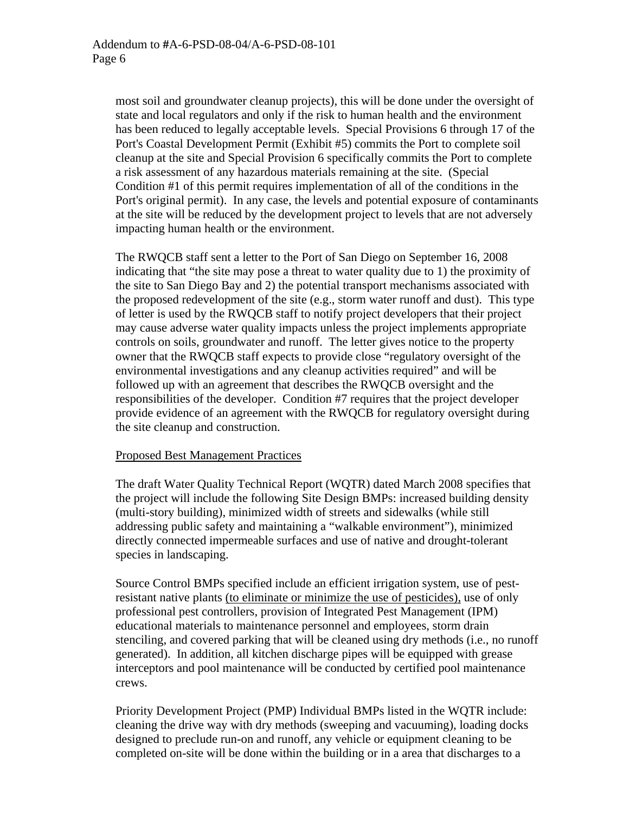most soil and groundwater cleanup projects), this will be done under the oversight of state and local regulators and only if the risk to human health and the environment has been reduced to legally acceptable levels. Special Provisions 6 through 17 of the Port's Coastal Development Permit (Exhibit #5) commits the Port to complete soil cleanup at the site and Special Provision 6 specifically commits the Port to complete a risk assessment of any hazardous materials remaining at the site. (Special Condition #1 of this permit requires implementation of all of the conditions in the Port's original permit). In any case, the levels and potential exposure of contaminants at the site will be reduced by the development project to levels that are not adversely impacting human health or the environment.

The RWQCB staff sent a letter to the Port of San Diego on September 16, 2008 indicating that "the site may pose a threat to water quality due to 1) the proximity of the site to San Diego Bay and 2) the potential transport mechanisms associated with the proposed redevelopment of the site (e.g., storm water runoff and dust). This type of letter is used by the RWQCB staff to notify project developers that their project may cause adverse water quality impacts unless the project implements appropriate controls on soils, groundwater and runoff. The letter gives notice to the property owner that the RWQCB staff expects to provide close "regulatory oversight of the environmental investigations and any cleanup activities required" and will be followed up with an agreement that describes the RWQCB oversight and the responsibilities of the developer. Condition #7 requires that the project developer provide evidence of an agreement with the RWQCB for regulatory oversight during the site cleanup and construction.

## Proposed Best Management Practices

The draft Water Quality Technical Report (WQTR) dated March 2008 specifies that the project will include the following Site Design BMPs: increased building density (multi-story building), minimized width of streets and sidewalks (while still addressing public safety and maintaining a "walkable environment"), minimized directly connected impermeable surfaces and use of native and drought-tolerant species in landscaping.

Source Control BMPs specified include an efficient irrigation system, use of pestresistant native plants (to eliminate or minimize the use of pesticides), use of only professional pest controllers, provision of Integrated Pest Management (IPM) educational materials to maintenance personnel and employees, storm drain stenciling, and covered parking that will be cleaned using dry methods (i.e., no runoff generated). In addition, all kitchen discharge pipes will be equipped with grease interceptors and pool maintenance will be conducted by certified pool maintenance crews.

Priority Development Project (PMP) Individual BMPs listed in the WQTR include: cleaning the drive way with dry methods (sweeping and vacuuming), loading docks designed to preclude run-on and runoff, any vehicle or equipment cleaning to be completed on-site will be done within the building or in a area that discharges to a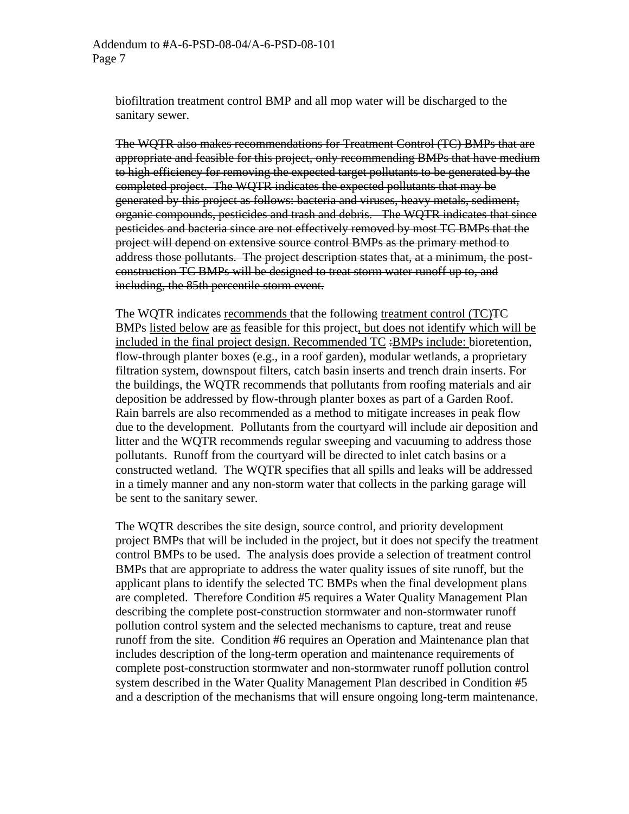biofiltration treatment control BMP and all mop water will be discharged to the sanitary sewer.

The WQTR also makes recommendations for Treatment Control (TC) BMPs that are appropriate and feasible for this project, only recommending BMPs that have medium to high efficiency for removing the expected target pollutants to be generated by the completed project. The WQTR indicates the expected pollutants that may be generated by this project as follows: bacteria and viruses, heavy metals, sediment, organic compounds, pesticides and trash and debris. The WQTR indicates that since pesticides and bacteria since are not effectively removed by most TC BMPs that the project will depend on extensive source control BMPs as the primary method to address those pollutants. The project description states that, at a minimum, the postconstruction TC BMPs will be designed to treat storm water runoff up to, and including, the 85th percentile storm event.

The WQTR indicates recommends that the following treatment control (TC)<del>TC</del> BMPs listed below are as feasible for this project, but does not identify which will be included in the final project design. Recommended TC :BMPs include: bioretention, flow-through planter boxes (e.g., in a roof garden), modular wetlands, a proprietary filtration system, downspout filters, catch basin inserts and trench drain inserts. For the buildings, the WQTR recommends that pollutants from roofing materials and air deposition be addressed by flow-through planter boxes as part of a Garden Roof. Rain barrels are also recommended as a method to mitigate increases in peak flow due to the development. Pollutants from the courtyard will include air deposition and litter and the WQTR recommends regular sweeping and vacuuming to address those pollutants. Runoff from the courtyard will be directed to inlet catch basins or a constructed wetland. The WQTR specifies that all spills and leaks will be addressed in a timely manner and any non-storm water that collects in the parking garage will be sent to the sanitary sewer.

The WQTR describes the site design, source control, and priority development project BMPs that will be included in the project, but it does not specify the treatment control BMPs to be used. The analysis does provide a selection of treatment control BMPs that are appropriate to address the water quality issues of site runoff, but the applicant plans to identify the selected TC BMPs when the final development plans are completed. Therefore Condition #5 requires a Water Quality Management Plan describing the complete post-construction stormwater and non-stormwater runoff pollution control system and the selected mechanisms to capture, treat and reuse runoff from the site. Condition #6 requires an Operation and Maintenance plan that includes description of the long-term operation and maintenance requirements of complete post-construction stormwater and non-stormwater runoff pollution control system described in the Water Quality Management Plan described in Condition #5 and a description of the mechanisms that will ensure ongoing long-term maintenance.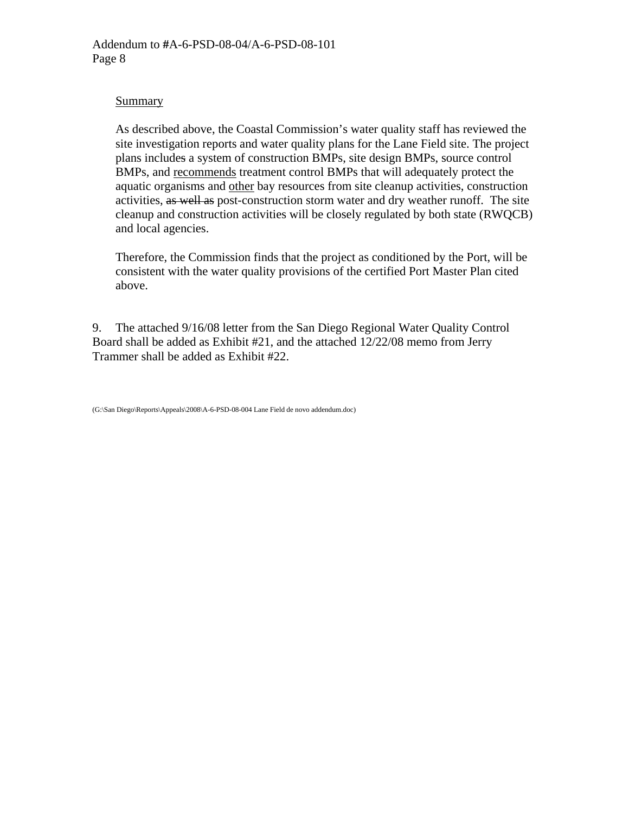#### **Summary**

As described above, the Coastal Commission's water quality staff has reviewed the site investigation reports and water quality plans for the Lane Field site. The project plans includes a system of construction BMPs, site design BMPs, source control BMPs, and recommends treatment control BMPs that will adequately protect the aquatic organisms and other bay resources from site cleanup activities, construction activities, as well as post-construction storm water and dry weather runoff. The site cleanup and construction activities will be closely regulated by both state (RWQCB) and local agencies.

Therefore, the Commission finds that the project as conditioned by the Port, will be consistent with the water quality provisions of the certified Port Master Plan cited above.

9. The attached 9/16/08 letter from the San Diego Regional Water Quality Control Board shall be added as Exhibit #21, and the attached 12/22/08 memo from Jerry Trammer shall be added as Exhibit #22.

<sup>(</sup>G:\San Diego\Reports\Appeals\2008\A-6-PSD-08-004 Lane Field de novo addendum.doc)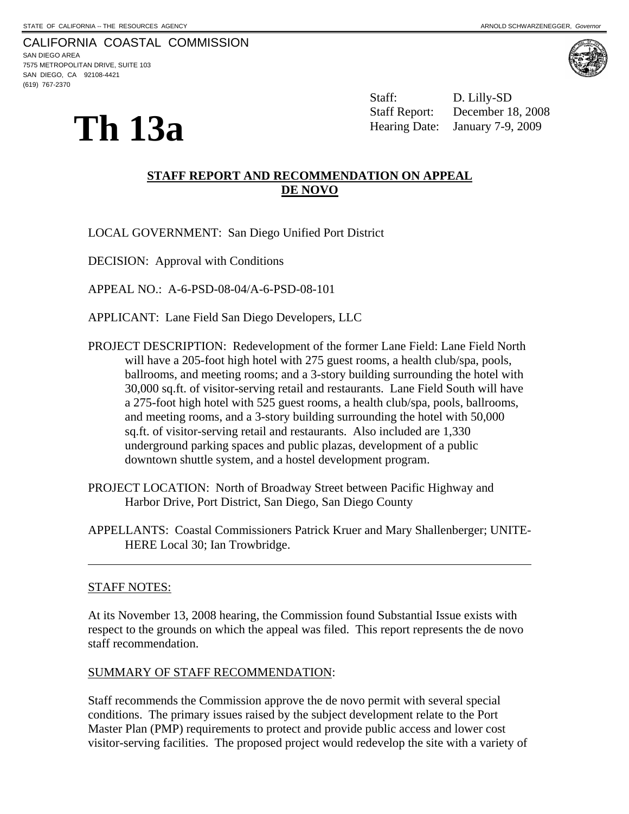CALIFORNIA COASTAL COMMISSION SAN DIEGO AREA 7575 METROPOLITAN DRIVE, SUITE 103 SAN DIEGO, CA 92108-4421 (619) 767-2370



**Th 13a** 

 Staff: D. Lilly-SD Staff Report: December 18, 2008 Hearing Date: January 7-9, 2009

# **STAFF REPORT AND RECOMMENDATION ON APPEAL DE NOVO**

LOCAL GOVERNMENT: San Diego Unified Port District

DECISION: Approval with Conditions

APPEAL NO.: A-6-PSD-08-04/A-6-PSD-08-101

APPLICANT: Lane Field San Diego Developers, LLC

- PROJECT DESCRIPTION: Redevelopment of the former Lane Field: Lane Field North will have a 205-foot high hotel with 275 guest rooms, a health club/spa, pools, ballrooms, and meeting rooms; and a 3-story building surrounding the hotel with 30,000 sq.ft. of visitor-serving retail and restaurants. Lane Field South will have a 275-foot high hotel with 525 guest rooms, a health club/spa, pools, ballrooms, and meeting rooms, and a 3-story building surrounding the hotel with 50,000 sq.ft. of visitor-serving retail and restaurants. Also included are 1,330 underground parking spaces and public plazas, development of a public downtown shuttle system, and a hostel development program.
- PROJECT LOCATION: North of Broadway Street between Pacific Highway and Harbor Drive, Port District, San Diego, San Diego County
- APPELLANTS: Coastal Commissioners Patrick Kruer and Mary Shallenberger; UNITE-HERE Local 30; Ian Trowbridge.

#### STAFF NOTES:

l

At its November 13, 2008 hearing, the Commission found Substantial Issue exists with respect to the grounds on which the appeal was filed. This report represents the de novo staff recommendation.

## SUMMARY OF STAFF RECOMMENDATION:

Staff recommends the Commission approve the de novo permit with several special conditions. The primary issues raised by the subject development relate to the Port Master Plan (PMP) requirements to protect and provide public access and lower cost visitor-serving facilities. The proposed project would redevelop the site with a variety of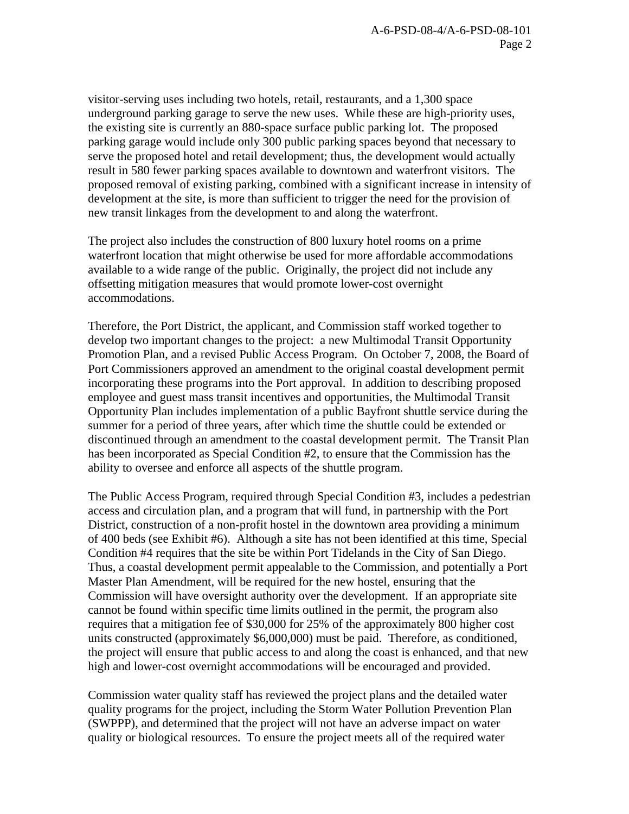visitor-serving uses including two hotels, retail, restaurants, and a 1,300 space underground parking garage to serve the new uses. While these are high-priority uses, the existing site is currently an 880-space surface public parking lot. The proposed parking garage would include only 300 public parking spaces beyond that necessary to serve the proposed hotel and retail development; thus, the development would actually result in 580 fewer parking spaces available to downtown and waterfront visitors. The proposed removal of existing parking, combined with a significant increase in intensity of development at the site, is more than sufficient to trigger the need for the provision of new transit linkages from the development to and along the waterfront.

The project also includes the construction of 800 luxury hotel rooms on a prime waterfront location that might otherwise be used for more affordable accommodations available to a wide range of the public. Originally, the project did not include any offsetting mitigation measures that would promote lower-cost overnight accommodations.

Therefore, the Port District, the applicant, and Commission staff worked together to develop two important changes to the project: a new Multimodal Transit Opportunity Promotion Plan, and a revised Public Access Program. On October 7, 2008, the Board of Port Commissioners approved an amendment to the original coastal development permit incorporating these programs into the Port approval. In addition to describing proposed employee and guest mass transit incentives and opportunities, the Multimodal Transit Opportunity Plan includes implementation of a public Bayfront shuttle service during the summer for a period of three years, after which time the shuttle could be extended or discontinued through an amendment to the coastal development permit. The Transit Plan has been incorporated as Special Condition #2, to ensure that the Commission has the ability to oversee and enforce all aspects of the shuttle program.

The Public Access Program, required through Special Condition #3, includes a pedestrian access and circulation plan, and a program that will fund, in partnership with the Port District, construction of a non-profit hostel in the downtown area providing a minimum of 400 beds (see Exhibit #6). Although a site has not been identified at this time, Special Condition #4 requires that the site be within Port Tidelands in the City of San Diego. Thus, a coastal development permit appealable to the Commission, and potentially a Port Master Plan Amendment, will be required for the new hostel, ensuring that the Commission will have oversight authority over the development. If an appropriate site cannot be found within specific time limits outlined in the permit, the program also requires that a mitigation fee of \$30,000 for 25% of the approximately 800 higher cost units constructed (approximately \$6,000,000) must be paid. Therefore, as conditioned, the project will ensure that public access to and along the coast is enhanced, and that new high and lower-cost overnight accommodations will be encouraged and provided.

Commission water quality staff has reviewed the project plans and the detailed water quality programs for the project, including the Storm Water Pollution Prevention Plan (SWPPP), and determined that the project will not have an adverse impact on water quality or biological resources. To ensure the project meets all of the required water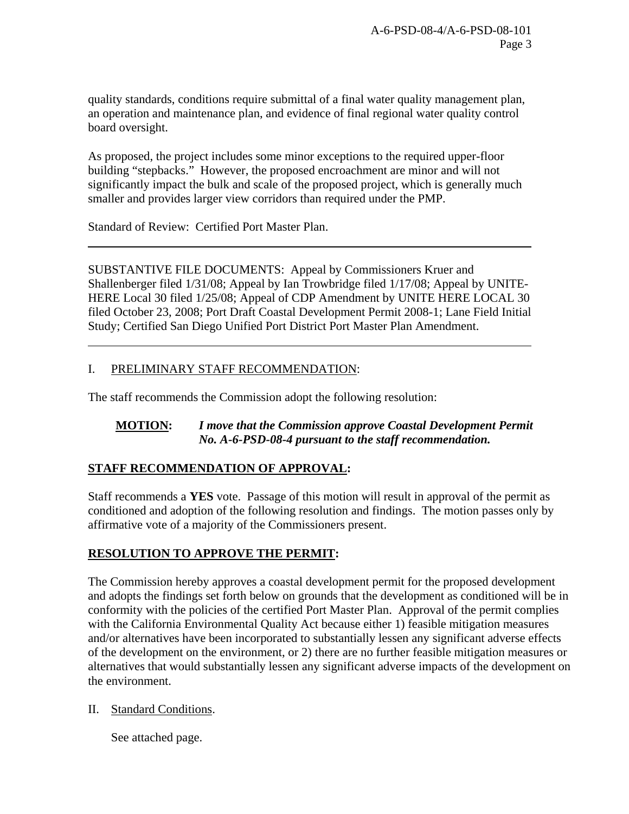quality standards, conditions require submittal of a final water quality management plan, an operation and maintenance plan, and evidence of final regional water quality control board oversight.

As proposed, the project includes some minor exceptions to the required upper-floor building "stepbacks." However, the proposed encroachment are minor and will not significantly impact the bulk and scale of the proposed project, which is generally much smaller and provides larger view corridors than required under the PMP.

Standard of Review: Certified Port Master Plan.

l

 $\overline{a}$ 

SUBSTANTIVE FILE DOCUMENTS: Appeal by Commissioners Kruer and Shallenberger filed 1/31/08; Appeal by Ian Trowbridge filed 1/17/08; Appeal by UNITE-HERE Local 30 filed 1/25/08; Appeal of CDP Amendment by UNITE HERE LOCAL 30 filed October 23, 2008; Port Draft Coastal Development Permit 2008-1; Lane Field Initial Study; Certified San Diego Unified Port District Port Master Plan Amendment.

# I. PRELIMINARY STAFF RECOMMENDATION:

The staff recommends the Commission adopt the following resolution:

# **MOTION:** *I move that the Commission approve Coastal Development Permit No. A-6-PSD-08-4 pursuant to the staff recommendation.*

# **STAFF RECOMMENDATION OF APPROVAL:**

Staff recommends a **YES** vote. Passage of this motion will result in approval of the permit as conditioned and adoption of the following resolution and findings. The motion passes only by affirmative vote of a majority of the Commissioners present.

# **RESOLUTION TO APPROVE THE PERMIT:**

The Commission hereby approves a coastal development permit for the proposed development and adopts the findings set forth below on grounds that the development as conditioned will be in conformity with the policies of the certified Port Master Plan. Approval of the permit complies with the California Environmental Quality Act because either 1) feasible mitigation measures and/or alternatives have been incorporated to substantially lessen any significant adverse effects of the development on the environment, or 2) there are no further feasible mitigation measures or alternatives that would substantially lessen any significant adverse impacts of the development on the environment.

## II. Standard Conditions.

See attached page.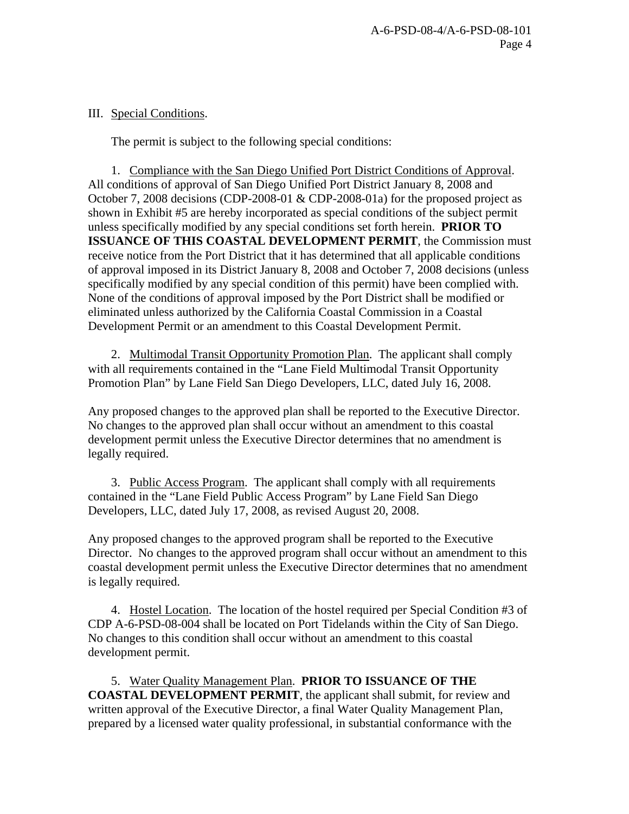# III. Special Conditions.

The permit is subject to the following special conditions:

 1. Compliance with the San Diego Unified Port District Conditions of Approval. All conditions of approval of San Diego Unified Port District January 8, 2008 and October 7, 2008 decisions (CDP-2008-01 & CDP-2008-01a) for the proposed project as shown in Exhibit #5 are hereby incorporated as special conditions of the subject permit unless specifically modified by any special conditions set forth herein. **PRIOR TO ISSUANCE OF THIS COASTAL DEVELOPMENT PERMIT**, the Commission must receive notice from the Port District that it has determined that all applicable conditions of approval imposed in its District January 8, 2008 and October 7, 2008 decisions (unless specifically modified by any special condition of this permit) have been complied with. None of the conditions of approval imposed by the Port District shall be modified or eliminated unless authorized by the California Coastal Commission in a Coastal Development Permit or an amendment to this Coastal Development Permit.

 2. Multimodal Transit Opportunity Promotion Plan. The applicant shall comply with all requirements contained in the "Lane Field Multimodal Transit Opportunity Promotion Plan" by Lane Field San Diego Developers, LLC, dated July 16, 2008.

Any proposed changes to the approved plan shall be reported to the Executive Director. No changes to the approved plan shall occur without an amendment to this coastal development permit unless the Executive Director determines that no amendment is legally required.

 3. Public Access Program. The applicant shall comply with all requirements contained in the "Lane Field Public Access Program" by Lane Field San Diego Developers, LLC, dated July 17, 2008, as revised August 20, 2008.

Any proposed changes to the approved program shall be reported to the Executive Director. No changes to the approved program shall occur without an amendment to this coastal development permit unless the Executive Director determines that no amendment is legally required.

 4. Hostel Location. The location of the hostel required per Special Condition #3 of CDP A-6-PSD-08-004 shall be located on Port Tidelands within the City of San Diego. No changes to this condition shall occur without an amendment to this coastal development permit.

5. Water Quality Management Plan. **PRIOR TO ISSUANCE OF THE COASTAL DEVELOPMENT PERMIT**, the applicant shall submit, for review and written approval of the Executive Director, a final Water Quality Management Plan, prepared by a licensed water quality professional, in substantial conformance with the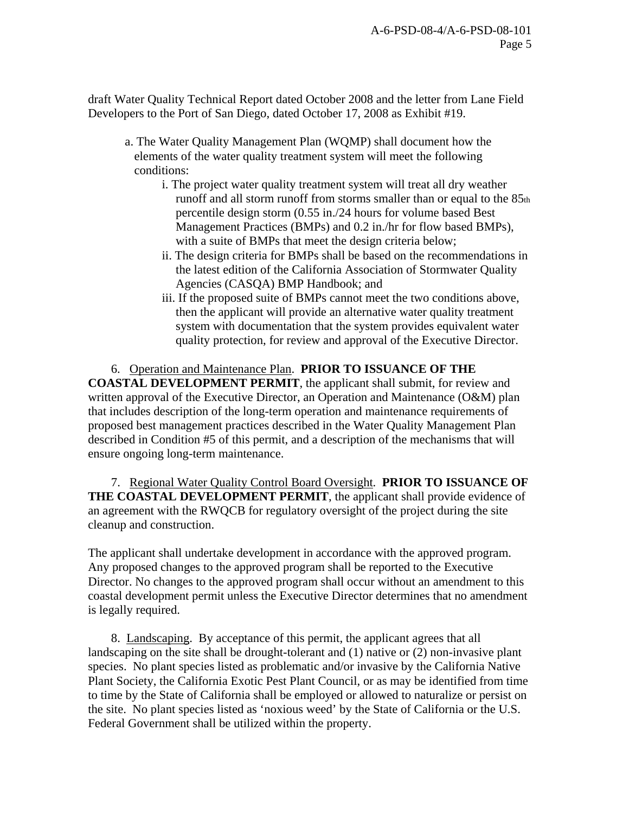draft Water Quality Technical Report dated October 2008 and the letter from Lane Field Developers to the Port of San Diego, dated October 17, 2008 as Exhibit #19.

- a. The Water Quality Management Plan (WQMP) shall document how the elements of the water quality treatment system will meet the following conditions:
	- i. The project water quality treatment system will treat all dry weather runoff and all storm runoff from storms smaller than or equal to the 85th percentile design storm (0.55 in./24 hours for volume based Best Management Practices (BMPs) and 0.2 in./hr for flow based BMPs), with a suite of BMPs that meet the design criteria below;
	- ii. The design criteria for BMPs shall be based on the recommendations in the latest edition of the California Association of Stormwater Quality Agencies (CASQA) BMP Handbook; and
	- iii. If the proposed suite of BMPs cannot meet the two conditions above, then the applicant will provide an alternative water quality treatment system with documentation that the system provides equivalent water quality protection, for review and approval of the Executive Director.

# 6. Operation and Maintenance Plan. **PRIOR TO ISSUANCE OF THE**

**COASTAL DEVELOPMENT PERMIT**, the applicant shall submit, for review and written approval of the Executive Director, an Operation and Maintenance (O&M) plan that includes description of the long-term operation and maintenance requirements of proposed best management practices described in the Water Quality Management Plan described in Condition #5 of this permit, and a description of the mechanisms that will ensure ongoing long-term maintenance.

7. Regional Water Quality Control Board Oversight. **PRIOR TO ISSUANCE OF THE COASTAL DEVELOPMENT PERMIT**, the applicant shall provide evidence of an agreement with the RWQCB for regulatory oversight of the project during the site cleanup and construction.

The applicant shall undertake development in accordance with the approved program. Any proposed changes to the approved program shall be reported to the Executive Director. No changes to the approved program shall occur without an amendment to this coastal development permit unless the Executive Director determines that no amendment is legally required.

 8. Landscaping. By acceptance of this permit, the applicant agrees that all landscaping on the site shall be drought-tolerant and (1) native or (2) non-invasive plant species. No plant species listed as problematic and/or invasive by the California Native Plant Society, the California Exotic Pest Plant Council, or as may be identified from time to time by the State of California shall be employed or allowed to naturalize or persist on the site. No plant species listed as 'noxious weed' by the State of California or the U.S. Federal Government shall be utilized within the property.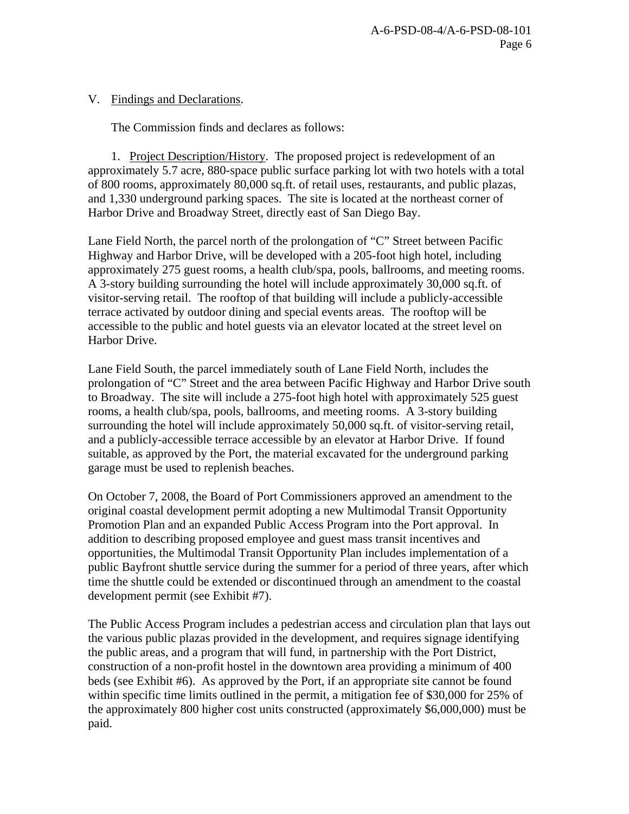V. Findings and Declarations.

The Commission finds and declares as follows:

 1. Project Description/History. The proposed project is redevelopment of an approximately 5.7 acre, 880-space public surface parking lot with two hotels with a total of 800 rooms, approximately 80,000 sq.ft. of retail uses, restaurants, and public plazas, and 1,330 underground parking spaces. The site is located at the northeast corner of Harbor Drive and Broadway Street, directly east of San Diego Bay.

Lane Field North, the parcel north of the prolongation of "C" Street between Pacific Highway and Harbor Drive, will be developed with a 205-foot high hotel, including approximately 275 guest rooms, a health club/spa, pools, ballrooms, and meeting rooms. A 3-story building surrounding the hotel will include approximately 30,000 sq.ft. of visitor-serving retail. The rooftop of that building will include a publicly-accessible terrace activated by outdoor dining and special events areas. The rooftop will be accessible to the public and hotel guests via an elevator located at the street level on Harbor Drive.

Lane Field South, the parcel immediately south of Lane Field North, includes the prolongation of "C" Street and the area between Pacific Highway and Harbor Drive south to Broadway. The site will include a 275-foot high hotel with approximately 525 guest rooms, a health club/spa, pools, ballrooms, and meeting rooms. A 3-story building surrounding the hotel will include approximately 50,000 sq.ft. of visitor-serving retail, and a publicly-accessible terrace accessible by an elevator at Harbor Drive. If found suitable, as approved by the Port, the material excavated for the underground parking garage must be used to replenish beaches.

On October 7, 2008, the Board of Port Commissioners approved an amendment to the original coastal development permit adopting a new Multimodal Transit Opportunity Promotion Plan and an expanded Public Access Program into the Port approval. In addition to describing proposed employee and guest mass transit incentives and opportunities, the Multimodal Transit Opportunity Plan includes implementation of a public Bayfront shuttle service during the summer for a period of three years, after which time the shuttle could be extended or discontinued through an amendment to the coastal development permit (see Exhibit #7).

The Public Access Program includes a pedestrian access and circulation plan that lays out the various public plazas provided in the development, and requires signage identifying the public areas, and a program that will fund, in partnership with the Port District, construction of a non-profit hostel in the downtown area providing a minimum of 400 beds (see Exhibit #6). As approved by the Port, if an appropriate site cannot be found within specific time limits outlined in the permit, a mitigation fee of \$30,000 for 25% of the approximately 800 higher cost units constructed (approximately \$6,000,000) must be paid.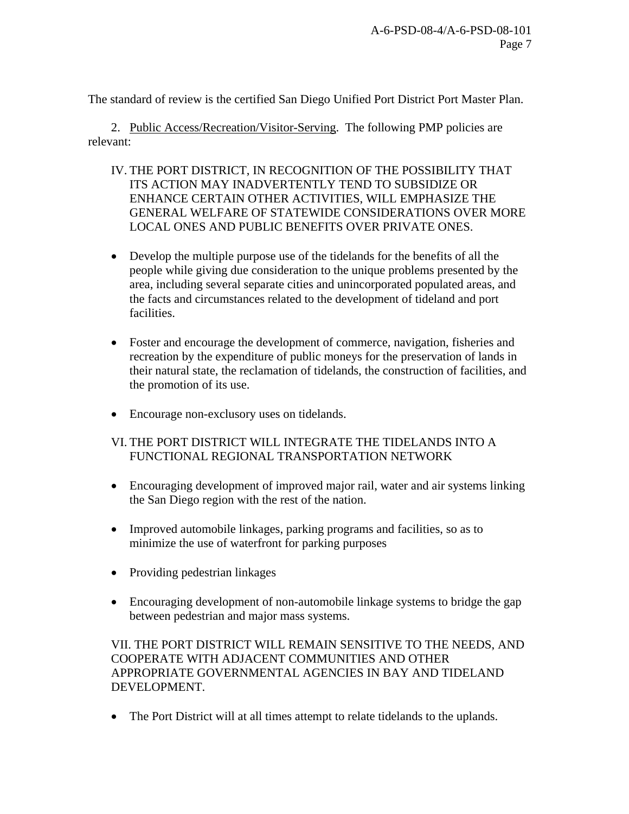The standard of review is the certified San Diego Unified Port District Port Master Plan.

 2. Public Access/Recreation/Visitor-Serving.The following PMP policies are relevant:

- IV. THE PORT DISTRICT, IN RECOGNITION OF THE POSSIBILITY THAT ITS ACTION MAY INADVERTENTLY TEND TO SUBSIDIZE OR ENHANCE CERTAIN OTHER ACTIVITIES, WILL EMPHASIZE THE GENERAL WELFARE OF STATEWIDE CONSIDERATIONS OVER MORE LOCAL ONES AND PUBLIC BENEFITS OVER PRIVATE ONES.
- Develop the multiple purpose use of the tidelands for the benefits of all the people while giving due consideration to the unique problems presented by the area, including several separate cities and unincorporated populated areas, and the facts and circumstances related to the development of tideland and port facilities.
- Foster and encourage the development of commerce, navigation, fisheries and recreation by the expenditure of public moneys for the preservation of lands in their natural state, the reclamation of tidelands, the construction of facilities, and the promotion of its use.
- Encourage non-exclusory uses on tidelands.

# VI. THE PORT DISTRICT WILL INTEGRATE THE TIDELANDS INTO A FUNCTIONAL REGIONAL TRANSPORTATION NETWORK

- Encouraging development of improved major rail, water and air systems linking the San Diego region with the rest of the nation.
- Improved automobile linkages, parking programs and facilities, so as to minimize the use of waterfront for parking purposes
- Providing pedestrian linkages
- Encouraging development of non-automobile linkage systems to bridge the gap between pedestrian and major mass systems.

VII. THE PORT DISTRICT WILL REMAIN SENSITIVE TO THE NEEDS, AND COOPERATE WITH ADJACENT COMMUNITIES AND OTHER APPROPRIATE GOVERNMENTAL AGENCIES IN BAY AND TIDELAND DEVELOPMENT.

• The Port District will at all times attempt to relate tidelands to the uplands.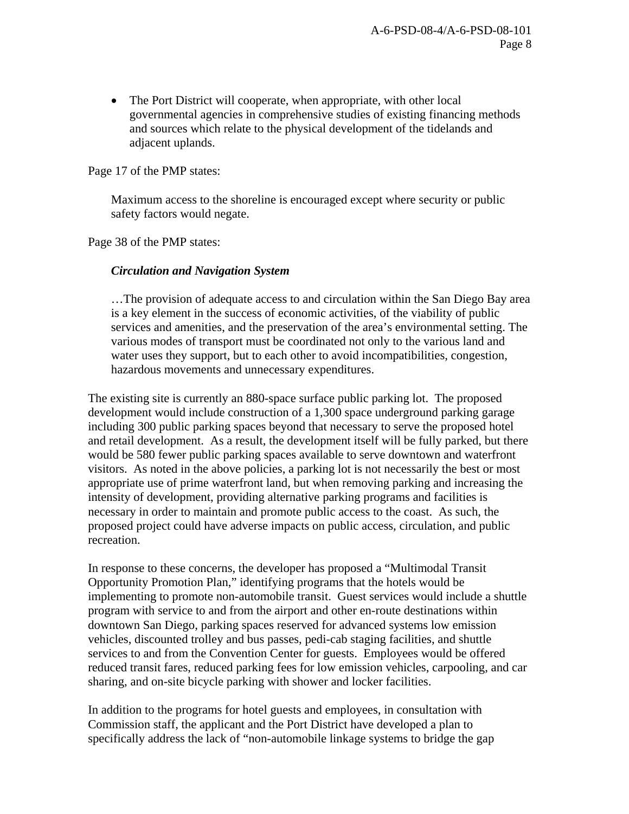• The Port District will cooperate, when appropriate, with other local governmental agencies in comprehensive studies of existing financing methods and sources which relate to the physical development of the tidelands and adjacent uplands.

Page 17 of the PMP states:

Maximum access to the shoreline is encouraged except where security or public safety factors would negate.

Page 38 of the PMP states:

## *Circulation and Navigation System*

…The provision of adequate access to and circulation within the San Diego Bay area is a key element in the success of economic activities, of the viability of public services and amenities, and the preservation of the area's environmental setting. The various modes of transport must be coordinated not only to the various land and water uses they support, but to each other to avoid incompatibilities, congestion, hazardous movements and unnecessary expenditures.

The existing site is currently an 880-space surface public parking lot. The proposed development would include construction of a 1,300 space underground parking garage including 300 public parking spaces beyond that necessary to serve the proposed hotel and retail development. As a result, the development itself will be fully parked, but there would be 580 fewer public parking spaces available to serve downtown and waterfront visitors. As noted in the above policies, a parking lot is not necessarily the best or most appropriate use of prime waterfront land, but when removing parking and increasing the intensity of development, providing alternative parking programs and facilities is necessary in order to maintain and promote public access to the coast. As such, the proposed project could have adverse impacts on public access, circulation, and public recreation.

In response to these concerns, the developer has proposed a "Multimodal Transit Opportunity Promotion Plan," identifying programs that the hotels would be implementing to promote non-automobile transit. Guest services would include a shuttle program with service to and from the airport and other en-route destinations within downtown San Diego, parking spaces reserved for advanced systems low emission vehicles, discounted trolley and bus passes, pedi-cab staging facilities, and shuttle services to and from the Convention Center for guests. Employees would be offered reduced transit fares, reduced parking fees for low emission vehicles, carpooling, and car sharing, and on-site bicycle parking with shower and locker facilities.

In addition to the programs for hotel guests and employees, in consultation with Commission staff, the applicant and the Port District have developed a plan to specifically address the lack of "non-automobile linkage systems to bridge the gap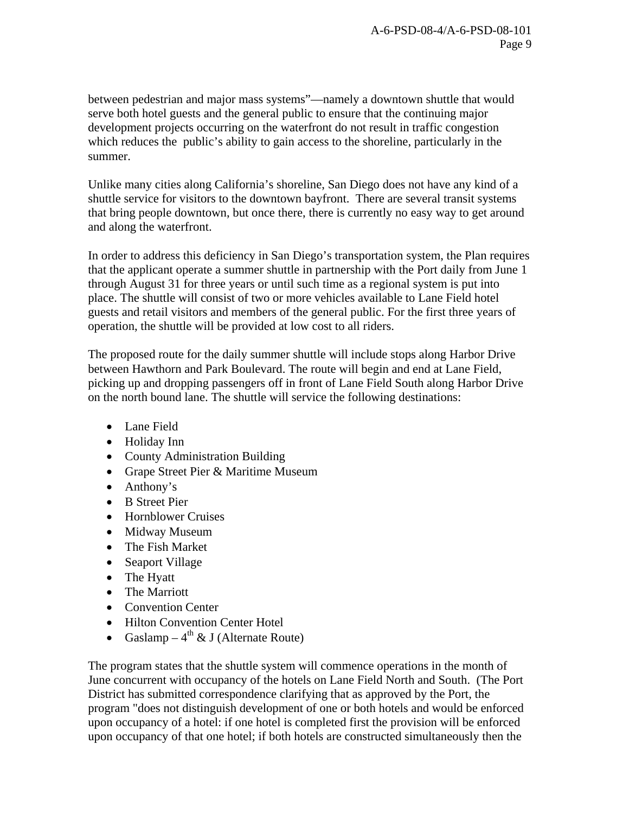between pedestrian and major mass systems"—namely a downtown shuttle that would serve both hotel guests and the general public to ensure that the continuing major development projects occurring on the waterfront do not result in traffic congestion which reduces the public's ability to gain access to the shoreline, particularly in the summer.

Unlike many cities along California's shoreline, San Diego does not have any kind of a shuttle service for visitors to the downtown bayfront. There are several transit systems that bring people downtown, but once there, there is currently no easy way to get around and along the waterfront.

In order to address this deficiency in San Diego's transportation system, the Plan requires that the applicant operate a summer shuttle in partnership with the Port daily from June 1 through August 31 for three years or until such time as a regional system is put into place. The shuttle will consist of two or more vehicles available to Lane Field hotel guests and retail visitors and members of the general public. For the first three years of operation, the shuttle will be provided at low cost to all riders.

The proposed route for the daily summer shuttle will include stops along Harbor Drive between Hawthorn and Park Boulevard. The route will begin and end at Lane Field, picking up and dropping passengers off in front of Lane Field South along Harbor Drive on the north bound lane. The shuttle will service the following destinations:

- Lane Field
- Holiday Inn
- County Administration Building
- Grape Street Pier & Maritime Museum
- Anthony's
- B Street Pier
- Hornblower Cruises
- Midway Museum
- The Fish Market
- Seaport Village
- The Hyatt
- The Marriott
- Convention Center
- Hilton Convention Center Hotel
- Gaslamp  $4^{th}$  & J (Alternate Route)

The program states that the shuttle system will commence operations in the month of June concurrent with occupancy of the hotels on Lane Field North and South. (The Port District has submitted correspondence clarifying that as approved by the Port, the program "does not distinguish development of one or both hotels and would be enforced upon occupancy of a hotel: if one hotel is completed first the provision will be enforced upon occupancy of that one hotel; if both hotels are constructed simultaneously then the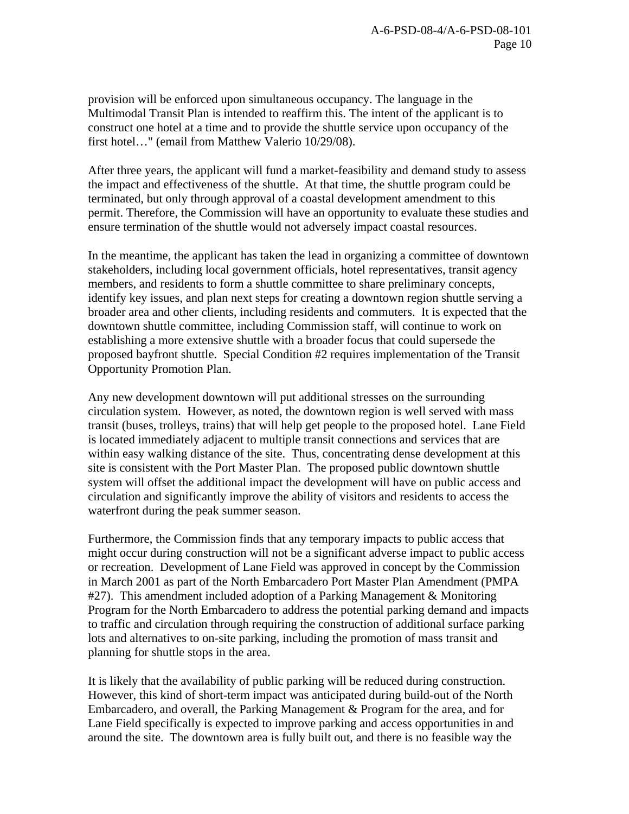provision will be enforced upon simultaneous occupancy. The language in the Multimodal Transit Plan is intended to reaffirm this. The intent of the applicant is to construct one hotel at a time and to provide the shuttle service upon occupancy of the first hotel…" (email from Matthew Valerio 10/29/08).

After three years, the applicant will fund a market-feasibility and demand study to assess the impact and effectiveness of the shuttle. At that time, the shuttle program could be terminated, but only through approval of a coastal development amendment to this permit. Therefore, the Commission will have an opportunity to evaluate these studies and ensure termination of the shuttle would not adversely impact coastal resources.

In the meantime, the applicant has taken the lead in organizing a committee of downtown stakeholders, including local government officials, hotel representatives, transit agency members, and residents to form a shuttle committee to share preliminary concepts, identify key issues, and plan next steps for creating a downtown region shuttle serving a broader area and other clients, including residents and commuters. It is expected that the downtown shuttle committee, including Commission staff, will continue to work on establishing a more extensive shuttle with a broader focus that could supersede the proposed bayfront shuttle. Special Condition #2 requires implementation of the Transit Opportunity Promotion Plan.

Any new development downtown will put additional stresses on the surrounding circulation system. However, as noted, the downtown region is well served with mass transit (buses, trolleys, trains) that will help get people to the proposed hotel. Lane Field is located immediately adjacent to multiple transit connections and services that are within easy walking distance of the site. Thus, concentrating dense development at this site is consistent with the Port Master Plan. The proposed public downtown shuttle system will offset the additional impact the development will have on public access and circulation and significantly improve the ability of visitors and residents to access the waterfront during the peak summer season.

Furthermore, the Commission finds that any temporary impacts to public access that might occur during construction will not be a significant adverse impact to public access or recreation. Development of Lane Field was approved in concept by the Commission in March 2001 as part of the North Embarcadero Port Master Plan Amendment (PMPA #27). This amendment included adoption of a Parking Management & Monitoring Program for the North Embarcadero to address the potential parking demand and impacts to traffic and circulation through requiring the construction of additional surface parking lots and alternatives to on-site parking, including the promotion of mass transit and planning for shuttle stops in the area.

It is likely that the availability of public parking will be reduced during construction. However, this kind of short-term impact was anticipated during build-out of the North Embarcadero, and overall, the Parking Management & Program for the area, and for Lane Field specifically is expected to improve parking and access opportunities in and around the site. The downtown area is fully built out, and there is no feasible way the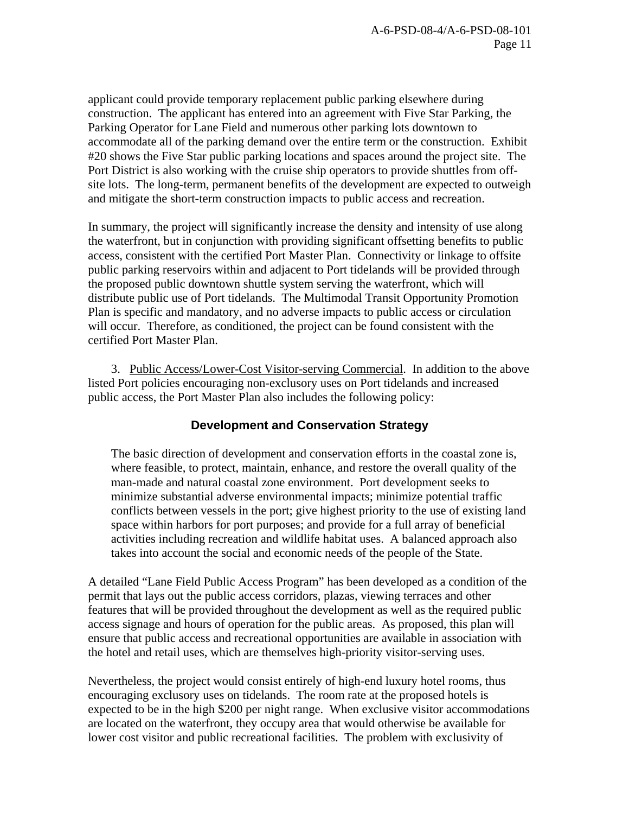applicant could provide temporary replacement public parking elsewhere during construction. The applicant has entered into an agreement with Five Star Parking, the Parking Operator for Lane Field and numerous other parking lots downtown to accommodate all of the parking demand over the entire term or the construction. Exhibit #20 shows the Five Star public parking locations and spaces around the project site. The Port District is also working with the cruise ship operators to provide shuttles from offsite lots. The long-term, permanent benefits of the development are expected to outweigh and mitigate the short-term construction impacts to public access and recreation.

In summary, the project will significantly increase the density and intensity of use along the waterfront, but in conjunction with providing significant offsetting benefits to public access, consistent with the certified Port Master Plan. Connectivity or linkage to offsite public parking reservoirs within and adjacent to Port tidelands will be provided through the proposed public downtown shuttle system serving the waterfront, which will distribute public use of Port tidelands. The Multimodal Transit Opportunity Promotion Plan is specific and mandatory, and no adverse impacts to public access or circulation will occur. Therefore, as conditioned, the project can be found consistent with the certified Port Master Plan.

 3. Public Access/Lower-Cost Visitor-serving Commercial. In addition to the above listed Port policies encouraging non-exclusory uses on Port tidelands and increased public access, the Port Master Plan also includes the following policy:

## **Development and Conservation Strategy**

The basic direction of development and conservation efforts in the coastal zone is, where feasible, to protect, maintain, enhance, and restore the overall quality of the man-made and natural coastal zone environment. Port development seeks to minimize substantial adverse environmental impacts; minimize potential traffic conflicts between vessels in the port; give highest priority to the use of existing land space within harbors for port purposes; and provide for a full array of beneficial activities including recreation and wildlife habitat uses. A balanced approach also takes into account the social and economic needs of the people of the State.

A detailed "Lane Field Public Access Program" has been developed as a condition of the permit that lays out the public access corridors, plazas, viewing terraces and other features that will be provided throughout the development as well as the required public access signage and hours of operation for the public areas. As proposed, this plan will ensure that public access and recreational opportunities are available in association with the hotel and retail uses, which are themselves high-priority visitor-serving uses.

Nevertheless, the project would consist entirely of high-end luxury hotel rooms, thus encouraging exclusory uses on tidelands. The room rate at the proposed hotels is expected to be in the high \$200 per night range. When exclusive visitor accommodations are located on the waterfront, they occupy area that would otherwise be available for lower cost visitor and public recreational facilities. The problem with exclusivity of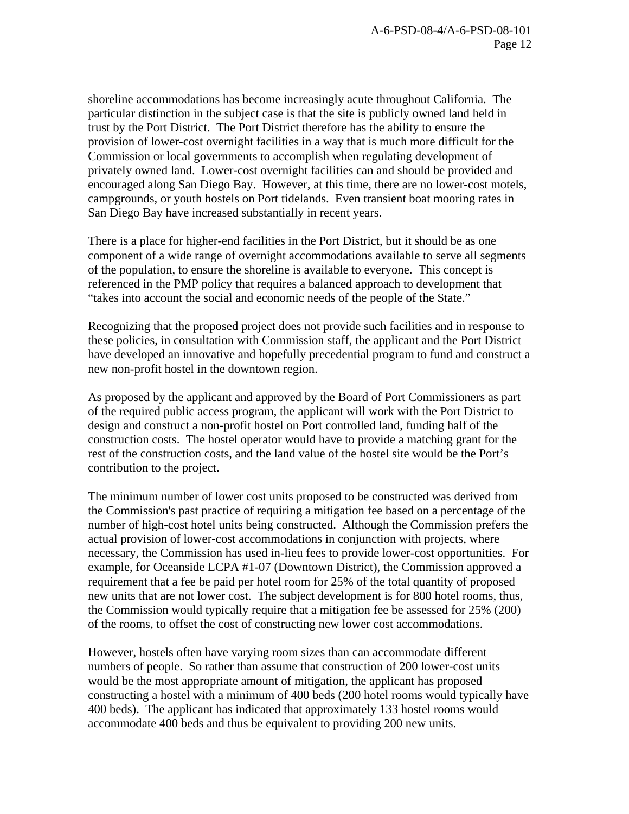shoreline accommodations has become increasingly acute throughout California. The particular distinction in the subject case is that the site is publicly owned land held in trust by the Port District. The Port District therefore has the ability to ensure the provision of lower-cost overnight facilities in a way that is much more difficult for the Commission or local governments to accomplish when regulating development of privately owned land. Lower-cost overnight facilities can and should be provided and encouraged along San Diego Bay. However, at this time, there are no lower-cost motels, campgrounds, or youth hostels on Port tidelands. Even transient boat mooring rates in San Diego Bay have increased substantially in recent years.

There is a place for higher-end facilities in the Port District, but it should be as one component of a wide range of overnight accommodations available to serve all segments of the population, to ensure the shoreline is available to everyone. This concept is referenced in the PMP policy that requires a balanced approach to development that "takes into account the social and economic needs of the people of the State."

Recognizing that the proposed project does not provide such facilities and in response to these policies, in consultation with Commission staff, the applicant and the Port District have developed an innovative and hopefully precedential program to fund and construct a new non-profit hostel in the downtown region.

As proposed by the applicant and approved by the Board of Port Commissioners as part of the required public access program, the applicant will work with the Port District to design and construct a non-profit hostel on Port controlled land, funding half of the construction costs. The hostel operator would have to provide a matching grant for the rest of the construction costs, and the land value of the hostel site would be the Port's contribution to the project.

The minimum number of lower cost units proposed to be constructed was derived from the Commission's past practice of requiring a mitigation fee based on a percentage of the number of high-cost hotel units being constructed. Although the Commission prefers the actual provision of lower-cost accommodations in conjunction with projects, where necessary, the Commission has used in-lieu fees to provide lower-cost opportunities. For example, for Oceanside LCPA #1-07 (Downtown District), the Commission approved a requirement that a fee be paid per hotel room for 25% of the total quantity of proposed new units that are not lower cost. The subject development is for 800 hotel rooms, thus, the Commission would typically require that a mitigation fee be assessed for 25% (200) of the rooms, to offset the cost of constructing new lower cost accommodations.

However, hostels often have varying room sizes than can accommodate different numbers of people. So rather than assume that construction of 200 lower-cost units would be the most appropriate amount of mitigation, the applicant has proposed constructing a hostel with a minimum of 400 beds (200 hotel rooms would typically have 400 beds). The applicant has indicated that approximately 133 hostel rooms would accommodate 400 beds and thus be equivalent to providing 200 new units.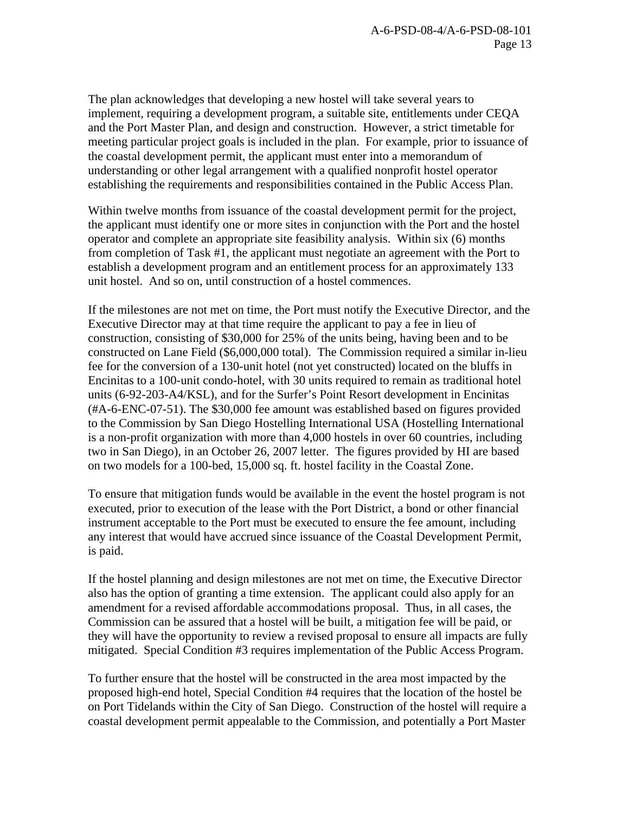The plan acknowledges that developing a new hostel will take several years to implement, requiring a development program, a suitable site, entitlements under CEQA and the Port Master Plan, and design and construction. However, a strict timetable for meeting particular project goals is included in the plan. For example, prior to issuance of the coastal development permit, the applicant must enter into a memorandum of understanding or other legal arrangement with a qualified nonprofit hostel operator establishing the requirements and responsibilities contained in the Public Access Plan.

Within twelve months from issuance of the coastal development permit for the project, the applicant must identify one or more sites in conjunction with the Port and the hostel operator and complete an appropriate site feasibility analysis. Within six (6) months from completion of Task #1, the applicant must negotiate an agreement with the Port to establish a development program and an entitlement process for an approximately 133 unit hostel. And so on, until construction of a hostel commences.

If the milestones are not met on time, the Port must notify the Executive Director, and the Executive Director may at that time require the applicant to pay a fee in lieu of construction, consisting of \$30,000 for 25% of the units being, having been and to be constructed on Lane Field (\$6,000,000 total). The Commission required a similar in-lieu fee for the conversion of a 130-unit hotel (not yet constructed) located on the bluffs in Encinitas to a 100-unit condo-hotel, with 30 units required to remain as traditional hotel units (6-92-203-A4/KSL), and for the Surfer's Point Resort development in Encinitas (#A-6-ENC-07-51). The \$30,000 fee amount was established based on figures provided to the Commission by San Diego Hostelling International USA (Hostelling International is a non-profit organization with more than 4,000 hostels in over 60 countries, including two in San Diego), in an October 26, 2007 letter. The figures provided by HI are based on two models for a 100-bed, 15,000 sq. ft. hostel facility in the Coastal Zone.

To ensure that mitigation funds would be available in the event the hostel program is not executed, prior to execution of the lease with the Port District, a bond or other financial instrument acceptable to the Port must be executed to ensure the fee amount, including any interest that would have accrued since issuance of the Coastal Development Permit, is paid.

If the hostel planning and design milestones are not met on time, the Executive Director also has the option of granting a time extension. The applicant could also apply for an amendment for a revised affordable accommodations proposal. Thus, in all cases, the Commission can be assured that a hostel will be built, a mitigation fee will be paid, or they will have the opportunity to review a revised proposal to ensure all impacts are fully mitigated. Special Condition #3 requires implementation of the Public Access Program.

To further ensure that the hostel will be constructed in the area most impacted by the proposed high-end hotel, Special Condition #4 requires that the location of the hostel be on Port Tidelands within the City of San Diego. Construction of the hostel will require a coastal development permit appealable to the Commission, and potentially a Port Master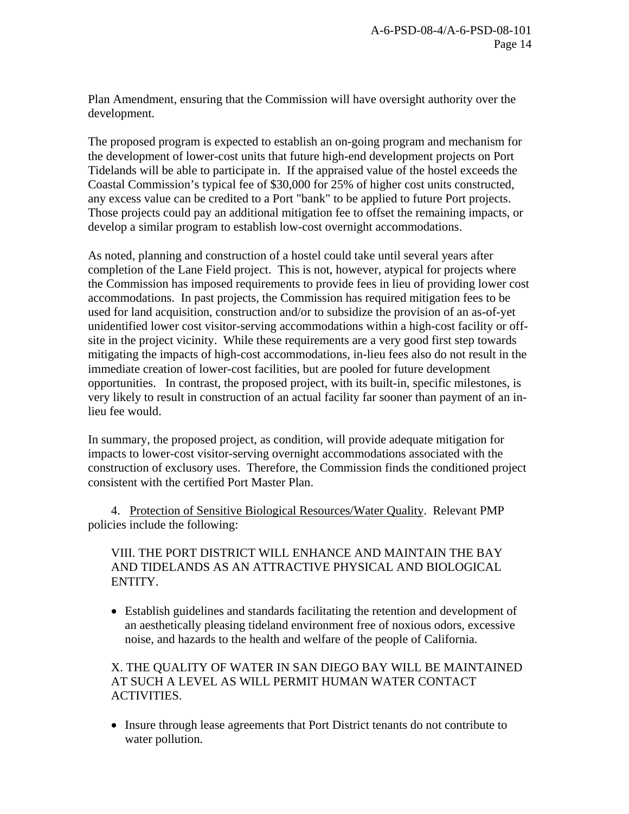Plan Amendment, ensuring that the Commission will have oversight authority over the development.

The proposed program is expected to establish an on-going program and mechanism for the development of lower-cost units that future high-end development projects on Port Tidelands will be able to participate in. If the appraised value of the hostel exceeds the Coastal Commission's typical fee of \$30,000 for 25% of higher cost units constructed, any excess value can be credited to a Port "bank" to be applied to future Port projects. Those projects could pay an additional mitigation fee to offset the remaining impacts, or develop a similar program to establish low-cost overnight accommodations.

As noted, planning and construction of a hostel could take until several years after completion of the Lane Field project. This is not, however, atypical for projects where the Commission has imposed requirements to provide fees in lieu of providing lower cost accommodations. In past projects, the Commission has required mitigation fees to be used for land acquisition, construction and/or to subsidize the provision of an as-of-yet unidentified lower cost visitor-serving accommodations within a high-cost facility or offsite in the project vicinity. While these requirements are a very good first step towards mitigating the impacts of high-cost accommodations, in-lieu fees also do not result in the immediate creation of lower-cost facilities, but are pooled for future development opportunities. In contrast, the proposed project, with its built-in, specific milestones, is very likely to result in construction of an actual facility far sooner than payment of an inlieu fee would.

In summary, the proposed project, as condition, will provide adequate mitigation for impacts to lower-cost visitor-serving overnight accommodations associated with the construction of exclusory uses. Therefore, the Commission finds the conditioned project consistent with the certified Port Master Plan.

 4. Protection of Sensitive Biological Resources/Water Quality. Relevant PMP policies include the following:

VIII. THE PORT DISTRICT WILL ENHANCE AND MAINTAIN THE BAY AND TIDELANDS AS AN ATTRACTIVE PHYSICAL AND BIOLOGICAL ENTITY.

• Establish guidelines and standards facilitating the retention and development of an aesthetically pleasing tideland environment free of noxious odors, excessive noise, and hazards to the health and welfare of the people of California.

X. THE QUALITY OF WATER IN SAN DIEGO BAY WILL BE MAINTAINED AT SUCH A LEVEL AS WILL PERMIT HUMAN WATER CONTACT ACTIVITIES.

• Insure through lease agreements that Port District tenants do not contribute to water pollution.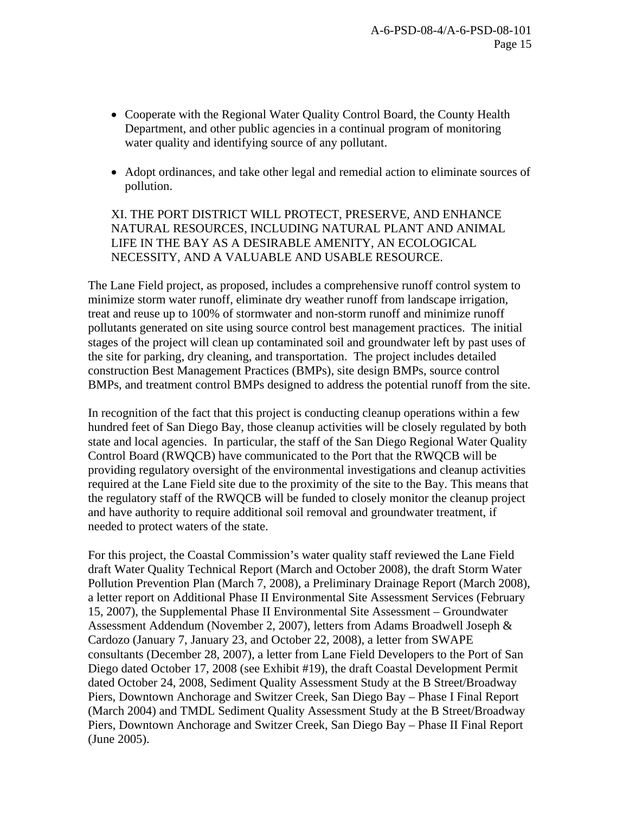- Cooperate with the Regional Water Quality Control Board, the County Health Department, and other public agencies in a continual program of monitoring water quality and identifying source of any pollutant.
- Adopt ordinances, and take other legal and remedial action to eliminate sources of pollution.

XI. THE PORT DISTRICT WILL PROTECT, PRESERVE, AND ENHANCE NATURAL RESOURCES, INCLUDING NATURAL PLANT AND ANIMAL LIFE IN THE BAY AS A DESIRABLE AMENITY, AN ECOLOGICAL NECESSITY, AND A VALUABLE AND USABLE RESOURCE.

The Lane Field project, as proposed, includes a comprehensive runoff control system to minimize storm water runoff, eliminate dry weather runoff from landscape irrigation, treat and reuse up to 100% of stormwater and non-storm runoff and minimize runoff pollutants generated on site using source control best management practices. The initial stages of the project will clean up contaminated soil and groundwater left by past uses of the site for parking, dry cleaning, and transportation. The project includes detailed construction Best Management Practices (BMPs), site design BMPs, source control BMPs, and treatment control BMPs designed to address the potential runoff from the site.

In recognition of the fact that this project is conducting cleanup operations within a few hundred feet of San Diego Bay, those cleanup activities will be closely regulated by both state and local agencies. In particular, the staff of the San Diego Regional Water Quality Control Board (RWQCB) have communicated to the Port that the RWQCB will be providing regulatory oversight of the environmental investigations and cleanup activities required at the Lane Field site due to the proximity of the site to the Bay. This means that the regulatory staff of the RWQCB will be funded to closely monitor the cleanup project and have authority to require additional soil removal and groundwater treatment, if needed to protect waters of the state.

For this project, the Coastal Commission's water quality staff reviewed the Lane Field draft Water Quality Technical Report (March and October 2008), the draft Storm Water Pollution Prevention Plan (March 7, 2008), a Preliminary Drainage Report (March 2008), a letter report on Additional Phase II Environmental Site Assessment Services (February 15, 2007), the Supplemental Phase II Environmental Site Assessment – Groundwater Assessment Addendum (November 2, 2007), letters from Adams Broadwell Joseph & Cardozo (January 7, January 23, and October 22, 2008), a letter from SWAPE consultants (December 28, 2007), a letter from Lane Field Developers to the Port of San Diego dated October 17, 2008 (see Exhibit #19), the draft Coastal Development Permit dated October 24, 2008, Sediment Quality Assessment Study at the B Street/Broadway Piers, Downtown Anchorage and Switzer Creek, San Diego Bay – Phase I Final Report (March 2004) and TMDL Sediment Quality Assessment Study at the B Street/Broadway Piers, Downtown Anchorage and Switzer Creek, San Diego Bay – Phase II Final Report (June 2005).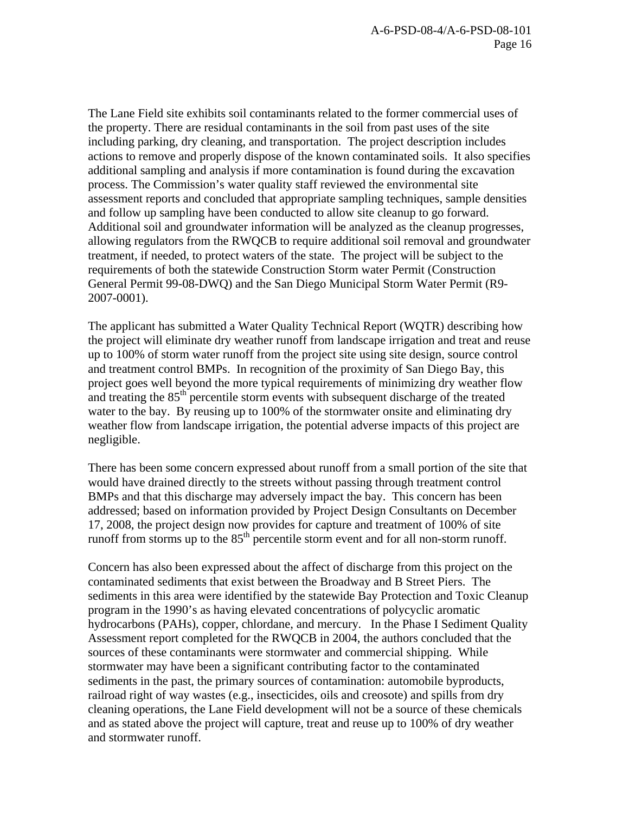The Lane Field site exhibits soil contaminants related to the former commercial uses of the property. There are residual contaminants in the soil from past uses of the site including parking, dry cleaning, and transportation. The project description includes actions to remove and properly dispose of the known contaminated soils. It also specifies additional sampling and analysis if more contamination is found during the excavation process. The Commission's water quality staff reviewed the environmental site assessment reports and concluded that appropriate sampling techniques, sample densities and follow up sampling have been conducted to allow site cleanup to go forward. Additional soil and groundwater information will be analyzed as the cleanup progresses, allowing regulators from the RWQCB to require additional soil removal and groundwater treatment, if needed, to protect waters of the state. The project will be subject to the requirements of both the statewide Construction Storm water Permit (Construction General Permit 99-08-DWQ) and the San Diego Municipal Storm Water Permit (R9- 2007-0001).

The applicant has submitted a Water Quality Technical Report (WQTR) describing how the project will eliminate dry weather runoff from landscape irrigation and treat and reuse up to 100% of storm water runoff from the project site using site design, source control and treatment control BMPs. In recognition of the proximity of San Diego Bay, this project goes well beyond the more typical requirements of minimizing dry weather flow and treating the  $85<sup>th</sup>$  percentile storm events with subsequent discharge of the treated water to the bay. By reusing up to 100% of the stormwater onsite and eliminating dry weather flow from landscape irrigation, the potential adverse impacts of this project are negligible.

There has been some concern expressed about runoff from a small portion of the site that would have drained directly to the streets without passing through treatment control BMPs and that this discharge may adversely impact the bay. This concern has been addressed; based on information provided by Project Design Consultants on December 17, 2008, the project design now provides for capture and treatment of 100% of site runoff from storms up to the  $85<sup>th</sup>$  percentile storm event and for all non-storm runoff.

Concern has also been expressed about the affect of discharge from this project on the contaminated sediments that exist between the Broadway and B Street Piers. The sediments in this area were identified by the statewide Bay Protection and Toxic Cleanup program in the 1990's as having elevated concentrations of polycyclic aromatic hydrocarbons (PAHs), copper, chlordane, and mercury*.* In the Phase I Sediment Quality Assessment report completed for the RWQCB in 2004, the authors concluded that the sources of these contaminants were stormwater and commercial shipping. While stormwater may have been a significant contributing factor to the contaminated sediments in the past, the primary sources of contamination: automobile byproducts, railroad right of way wastes (e.g., insecticides, oils and creosote) and spills from dry cleaning operations, the Lane Field development will not be a source of these chemicals and as stated above the project will capture, treat and reuse up to 100% of dry weather and stormwater runoff.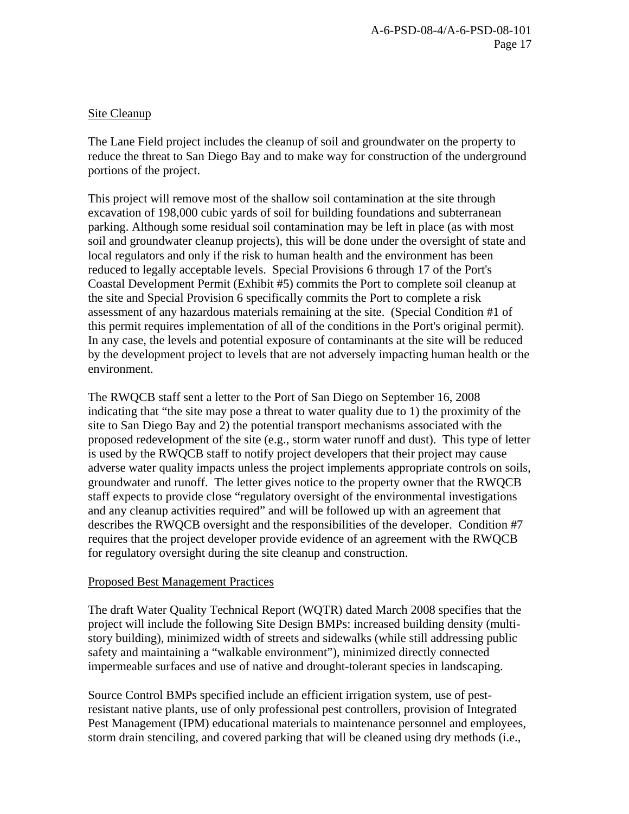## Site Cleanup

The Lane Field project includes the cleanup of soil and groundwater on the property to reduce the threat to San Diego Bay and to make way for construction of the underground portions of the project.

This project will remove most of the shallow soil contamination at the site through excavation of 198,000 cubic yards of soil for building foundations and subterranean parking. Although some residual soil contamination may be left in place (as with most soil and groundwater cleanup projects), this will be done under the oversight of state and local regulators and only if the risk to human health and the environment has been reduced to legally acceptable levels. Special Provisions 6 through 17 of the Port's Coastal Development Permit (Exhibit #5) commits the Port to complete soil cleanup at the site and Special Provision 6 specifically commits the Port to complete a risk assessment of any hazardous materials remaining at the site. (Special Condition #1 of this permit requires implementation of all of the conditions in the Port's original permit). In any case, the levels and potential exposure of contaminants at the site will be reduced by the development project to levels that are not adversely impacting human health or the environment.

The RWQCB staff sent a letter to the Port of San Diego on September 16, 2008 indicating that "the site may pose a threat to water quality due to 1) the proximity of the site to San Diego Bay and 2) the potential transport mechanisms associated with the proposed redevelopment of the site (e.g., storm water runoff and dust). This type of letter is used by the RWQCB staff to notify project developers that their project may cause adverse water quality impacts unless the project implements appropriate controls on soils, groundwater and runoff. The letter gives notice to the property owner that the RWQCB staff expects to provide close "regulatory oversight of the environmental investigations and any cleanup activities required" and will be followed up with an agreement that describes the RWQCB oversight and the responsibilities of the developer. Condition #7 requires that the project developer provide evidence of an agreement with the RWQCB for regulatory oversight during the site cleanup and construction.

## Proposed Best Management Practices

The draft Water Quality Technical Report (WQTR) dated March 2008 specifies that the project will include the following Site Design BMPs: increased building density (multistory building), minimized width of streets and sidewalks (while still addressing public safety and maintaining a "walkable environment"), minimized directly connected impermeable surfaces and use of native and drought-tolerant species in landscaping.

Source Control BMPs specified include an efficient irrigation system, use of pestresistant native plants, use of only professional pest controllers, provision of Integrated Pest Management (IPM) educational materials to maintenance personnel and employees, storm drain stenciling, and covered parking that will be cleaned using dry methods (i.e.,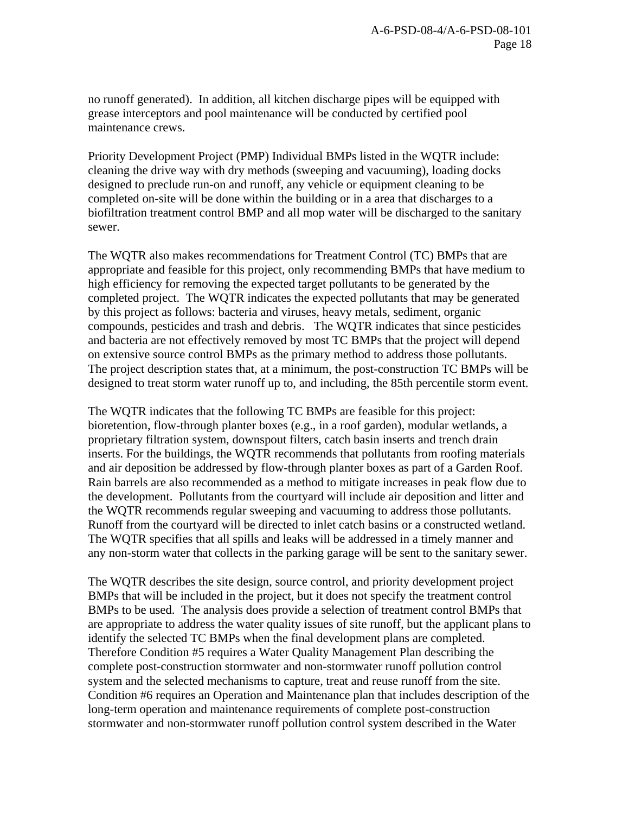no runoff generated). In addition, all kitchen discharge pipes will be equipped with grease interceptors and pool maintenance will be conducted by certified pool maintenance crews.

Priority Development Project (PMP) Individual BMPs listed in the WQTR include: cleaning the drive way with dry methods (sweeping and vacuuming), loading docks designed to preclude run-on and runoff, any vehicle or equipment cleaning to be completed on-site will be done within the building or in a area that discharges to a biofiltration treatment control BMP and all mop water will be discharged to the sanitary sewer.

The WQTR also makes recommendations for Treatment Control (TC) BMPs that are appropriate and feasible for this project, only recommending BMPs that have medium to high efficiency for removing the expected target pollutants to be generated by the completed project. The WQTR indicates the expected pollutants that may be generated by this project as follows: bacteria and viruses, heavy metals, sediment, organic compounds, pesticides and trash and debris. The WQTR indicates that since pesticides and bacteria are not effectively removed by most TC BMPs that the project will depend on extensive source control BMPs as the primary method to address those pollutants. The project description states that, at a minimum, the post-construction TC BMPs will be designed to treat storm water runoff up to, and including, the 85th percentile storm event.

The WQTR indicates that the following TC BMPs are feasible for this project: bioretention, flow-through planter boxes (e.g., in a roof garden), modular wetlands, a proprietary filtration system, downspout filters, catch basin inserts and trench drain inserts. For the buildings, the WQTR recommends that pollutants from roofing materials and air deposition be addressed by flow-through planter boxes as part of a Garden Roof. Rain barrels are also recommended as a method to mitigate increases in peak flow due to the development. Pollutants from the courtyard will include air deposition and litter and the WQTR recommends regular sweeping and vacuuming to address those pollutants. Runoff from the courtyard will be directed to inlet catch basins or a constructed wetland. The WQTR specifies that all spills and leaks will be addressed in a timely manner and any non-storm water that collects in the parking garage will be sent to the sanitary sewer.

The WQTR describes the site design, source control, and priority development project BMPs that will be included in the project, but it does not specify the treatment control BMPs to be used. The analysis does provide a selection of treatment control BMPs that are appropriate to address the water quality issues of site runoff, but the applicant plans to identify the selected TC BMPs when the final development plans are completed. Therefore Condition #5 requires a Water Quality Management Plan describing the complete post-construction stormwater and non-stormwater runoff pollution control system and the selected mechanisms to capture, treat and reuse runoff from the site. Condition #6 requires an Operation and Maintenance plan that includes description of the long-term operation and maintenance requirements of complete post-construction stormwater and non-stormwater runoff pollution control system described in the Water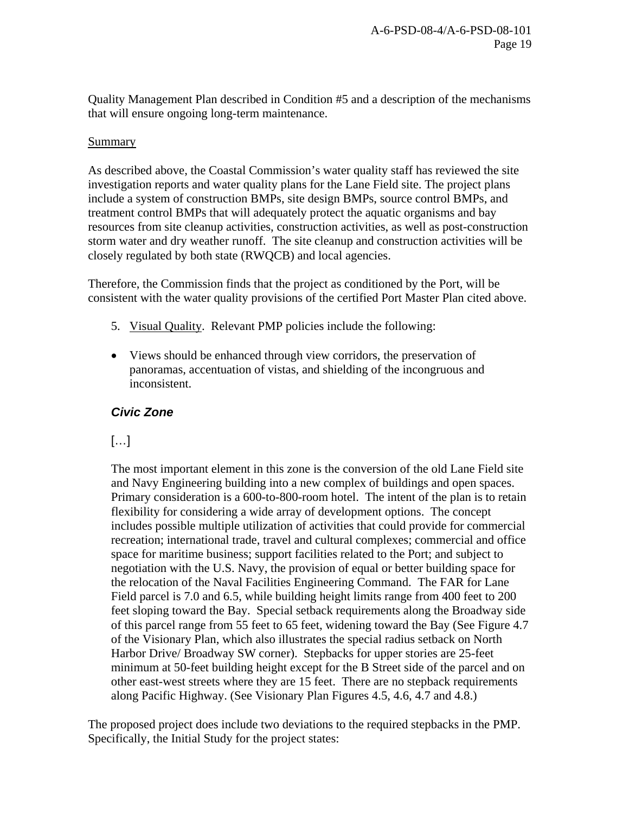Quality Management Plan described in Condition #5 and a description of the mechanisms that will ensure ongoing long-term maintenance.

#### Summary

As described above, the Coastal Commission's water quality staff has reviewed the site investigation reports and water quality plans for the Lane Field site. The project plans include a system of construction BMPs, site design BMPs, source control BMPs, and treatment control BMPs that will adequately protect the aquatic organisms and bay resources from site cleanup activities, construction activities, as well as post-construction storm water and dry weather runoff. The site cleanup and construction activities will be closely regulated by both state (RWQCB) and local agencies.

Therefore, the Commission finds that the project as conditioned by the Port, will be consistent with the water quality provisions of the certified Port Master Plan cited above.

- 5. Visual Quality. Relevant PMP policies include the following:
- Views should be enhanced through view corridors, the preservation of panoramas, accentuation of vistas, and shielding of the incongruous and inconsistent.

# *Civic Zone*

# […]

The most important element in this zone is the conversion of the old Lane Field site and Navy Engineering building into a new complex of buildings and open spaces. Primary consideration is a 600-to-800-room hotel. The intent of the plan is to retain flexibility for considering a wide array of development options. The concept includes possible multiple utilization of activities that could provide for commercial recreation; international trade, travel and cultural complexes; commercial and office space for maritime business; support facilities related to the Port; and subject to negotiation with the U.S. Navy, the provision of equal or better building space for the relocation of the Naval Facilities Engineering Command. The FAR for Lane Field parcel is 7.0 and 6.5, while building height limits range from 400 feet to 200 feet sloping toward the Bay. Special setback requirements along the Broadway side of this parcel range from 55 feet to 65 feet, widening toward the Bay (See Figure 4.7 of the Visionary Plan, which also illustrates the special radius setback on North Harbor Drive/ Broadway SW corner). Stepbacks for upper stories are 25-feet minimum at 50-feet building height except for the B Street side of the parcel and on other east-west streets where they are 15 feet. There are no stepback requirements along Pacific Highway. (See Visionary Plan Figures 4.5, 4.6, 4.7 and 4.8.)

The proposed project does include two deviations to the required stepbacks in the PMP. Specifically, the Initial Study for the project states: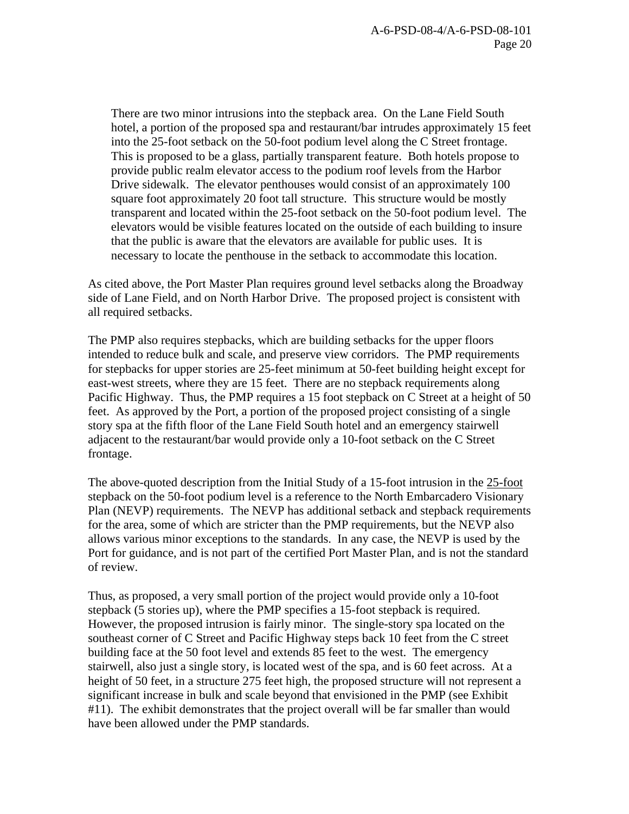There are two minor intrusions into the stepback area. On the Lane Field South hotel, a portion of the proposed spa and restaurant/bar intrudes approximately 15 feet into the 25-foot setback on the 50-foot podium level along the C Street frontage. This is proposed to be a glass, partially transparent feature. Both hotels propose to provide public realm elevator access to the podium roof levels from the Harbor Drive sidewalk. The elevator penthouses would consist of an approximately 100 square foot approximately 20 foot tall structure. This structure would be mostly transparent and located within the 25-foot setback on the 50-foot podium level. The elevators would be visible features located on the outside of each building to insure that the public is aware that the elevators are available for public uses. It is necessary to locate the penthouse in the setback to accommodate this location.

As cited above, the Port Master Plan requires ground level setbacks along the Broadway side of Lane Field, and on North Harbor Drive. The proposed project is consistent with all required setbacks.

The PMP also requires stepbacks, which are building setbacks for the upper floors intended to reduce bulk and scale, and preserve view corridors. The PMP requirements for stepbacks for upper stories are 25-feet minimum at 50-feet building height except for east-west streets, where they are 15 feet. There are no stepback requirements along Pacific Highway. Thus, the PMP requires a 15 foot stepback on C Street at a height of 50 feet. As approved by the Port, a portion of the proposed project consisting of a single story spa at the fifth floor of the Lane Field South hotel and an emergency stairwell adjacent to the restaurant/bar would provide only a 10-foot setback on the C Street frontage.

The above-quoted description from the Initial Study of a 15-foot intrusion in the 25-foot stepback on the 50-foot podium level is a reference to the North Embarcadero Visionary Plan (NEVP) requirements. The NEVP has additional setback and stepback requirements for the area, some of which are stricter than the PMP requirements, but the NEVP also allows various minor exceptions to the standards. In any case, the NEVP is used by the Port for guidance, and is not part of the certified Port Master Plan, and is not the standard of review.

Thus, as proposed, a very small portion of the project would provide only a 10-foot stepback (5 stories up), where the PMP specifies a 15-foot stepback is required. However, the proposed intrusion is fairly minor. The single-story spa located on the southeast corner of C Street and Pacific Highway steps back 10 feet from the C street building face at the 50 foot level and extends 85 feet to the west. The emergency stairwell, also just a single story, is located west of the spa, and is 60 feet across. At a height of 50 feet, in a structure 275 feet high, the proposed structure will not represent a significant increase in bulk and scale beyond that envisioned in the PMP (see Exhibit #11). The exhibit demonstrates that the project overall will be far smaller than would have been allowed under the PMP standards.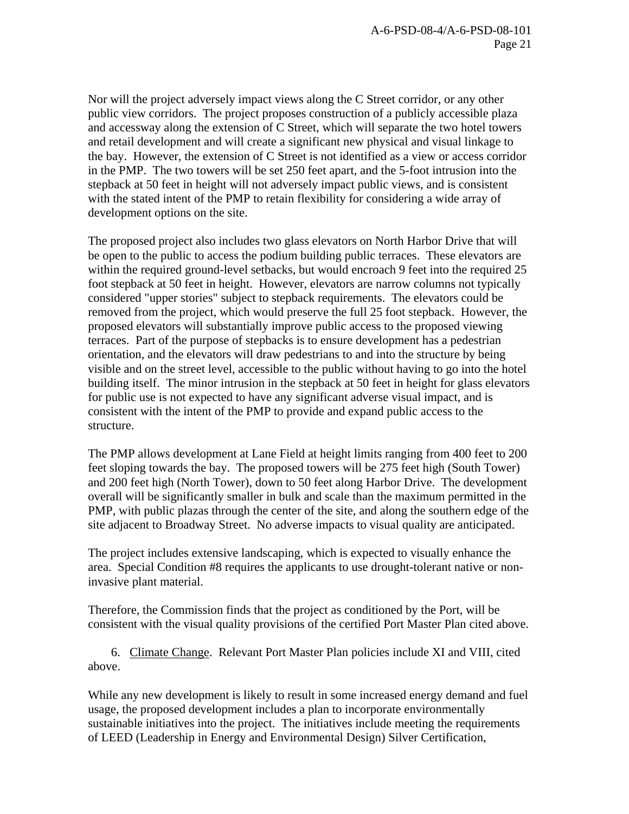Nor will the project adversely impact views along the C Street corridor, or any other public view corridors. The project proposes construction of a publicly accessible plaza and accessway along the extension of C Street, which will separate the two hotel towers and retail development and will create a significant new physical and visual linkage to the bay. However, the extension of C Street is not identified as a view or access corridor in the PMP. The two towers will be set 250 feet apart, and the 5-foot intrusion into the stepback at 50 feet in height will not adversely impact public views, and is consistent with the stated intent of the PMP to retain flexibility for considering a wide array of development options on the site.

The proposed project also includes two glass elevators on North Harbor Drive that will be open to the public to access the podium building public terraces. These elevators are within the required ground-level setbacks, but would encroach 9 feet into the required 25 foot stepback at 50 feet in height. However, elevators are narrow columns not typically considered "upper stories" subject to stepback requirements. The elevators could be removed from the project, which would preserve the full 25 foot stepback. However, the proposed elevators will substantially improve public access to the proposed viewing terraces. Part of the purpose of stepbacks is to ensure development has a pedestrian orientation, and the elevators will draw pedestrians to and into the structure by being visible and on the street level, accessible to the public without having to go into the hotel building itself. The minor intrusion in the stepback at 50 feet in height for glass elevators for public use is not expected to have any significant adverse visual impact, and is consistent with the intent of the PMP to provide and expand public access to the structure.

The PMP allows development at Lane Field at height limits ranging from 400 feet to 200 feet sloping towards the bay. The proposed towers will be 275 feet high (South Tower) and 200 feet high (North Tower), down to 50 feet along Harbor Drive. The development overall will be significantly smaller in bulk and scale than the maximum permitted in the PMP, with public plazas through the center of the site, and along the southern edge of the site adjacent to Broadway Street. No adverse impacts to visual quality are anticipated.

The project includes extensive landscaping, which is expected to visually enhance the area. Special Condition #8 requires the applicants to use drought-tolerant native or noninvasive plant material.

Therefore, the Commission finds that the project as conditioned by the Port, will be consistent with the visual quality provisions of the certified Port Master Plan cited above.

 6. Climate Change. Relevant Port Master Plan policies include XI and VIII, cited above.

While any new development is likely to result in some increased energy demand and fuel usage, the proposed development includes a plan to incorporate environmentally sustainable initiatives into the project. The initiatives include meeting the requirements of LEED (Leadership in Energy and Environmental Design) Silver Certification,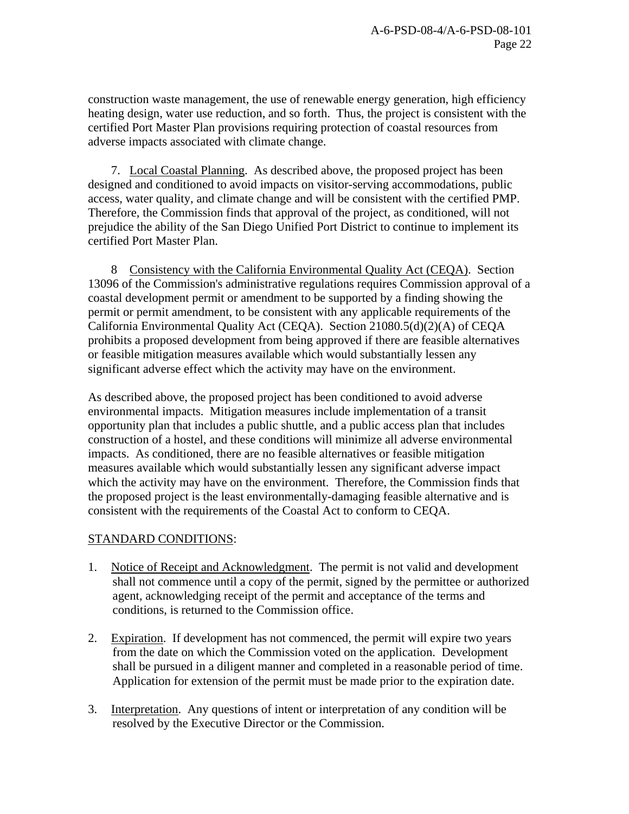construction waste management, the use of renewable energy generation, high efficiency heating design, water use reduction, and so forth. Thus, the project is consistent with the certified Port Master Plan provisions requiring protection of coastal resources from adverse impacts associated with climate change.

 7. Local Coastal Planning. As described above, the proposed project has been designed and conditioned to avoid impacts on visitor-serving accommodations, public access, water quality, and climate change and will be consistent with the certified PMP. Therefore, the Commission finds that approval of the project, as conditioned, will not prejudice the ability of the San Diego Unified Port District to continue to implement its certified Port Master Plan.

8 Consistency with the California Environmental Quality Act (CEQA). Section 13096 of the Commission's administrative regulations requires Commission approval of a coastal development permit or amendment to be supported by a finding showing the permit or permit amendment, to be consistent with any applicable requirements of the California Environmental Quality Act (CEQA). Section 21080.5(d)(2)(A) of CEQA prohibits a proposed development from being approved if there are feasible alternatives or feasible mitigation measures available which would substantially lessen any significant adverse effect which the activity may have on the environment.

As described above, the proposed project has been conditioned to avoid adverse environmental impacts. Mitigation measures include implementation of a transit opportunity plan that includes a public shuttle, and a public access plan that includes construction of a hostel, and these conditions will minimize all adverse environmental impacts. As conditioned, there are no feasible alternatives or feasible mitigation measures available which would substantially lessen any significant adverse impact which the activity may have on the environment. Therefore, the Commission finds that the proposed project is the least environmentally-damaging feasible alternative and is consistent with the requirements of the Coastal Act to conform to CEQA.

## STANDARD CONDITIONS:

- 1. Notice of Receipt and Acknowledgment. The permit is not valid and development shall not commence until a copy of the permit, signed by the permittee or authorized agent, acknowledging receipt of the permit and acceptance of the terms and conditions, is returned to the Commission office.
- 2. Expiration. If development has not commenced, the permit will expire two years from the date on which the Commission voted on the application. Development shall be pursued in a diligent manner and completed in a reasonable period of time. Application for extension of the permit must be made prior to the expiration date.
- 3. Interpretation. Any questions of intent or interpretation of any condition will be resolved by the Executive Director or the Commission.